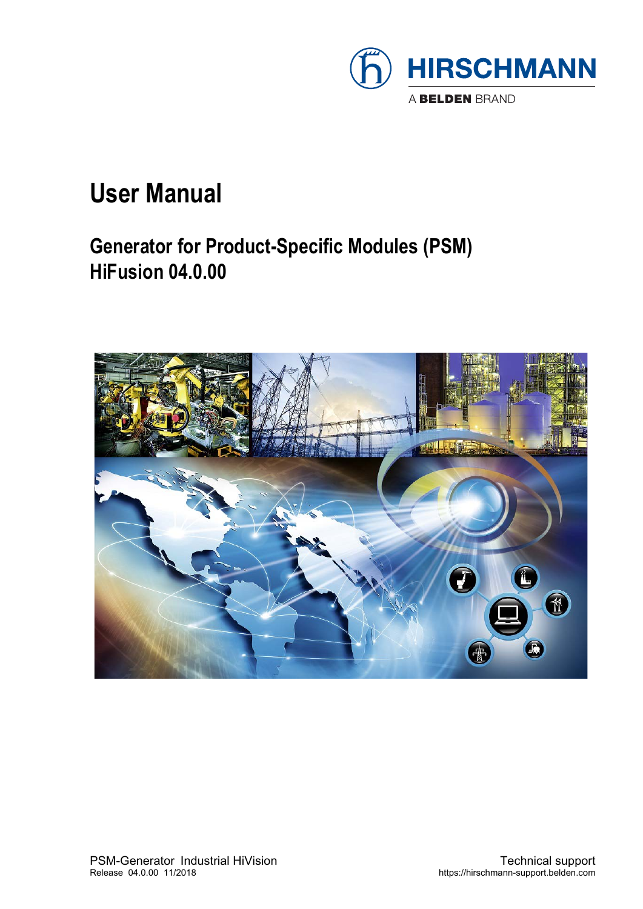

### **User Manual**

### **Generator for Product-Specific Modules (PSM) HiFusion 04.0.00**

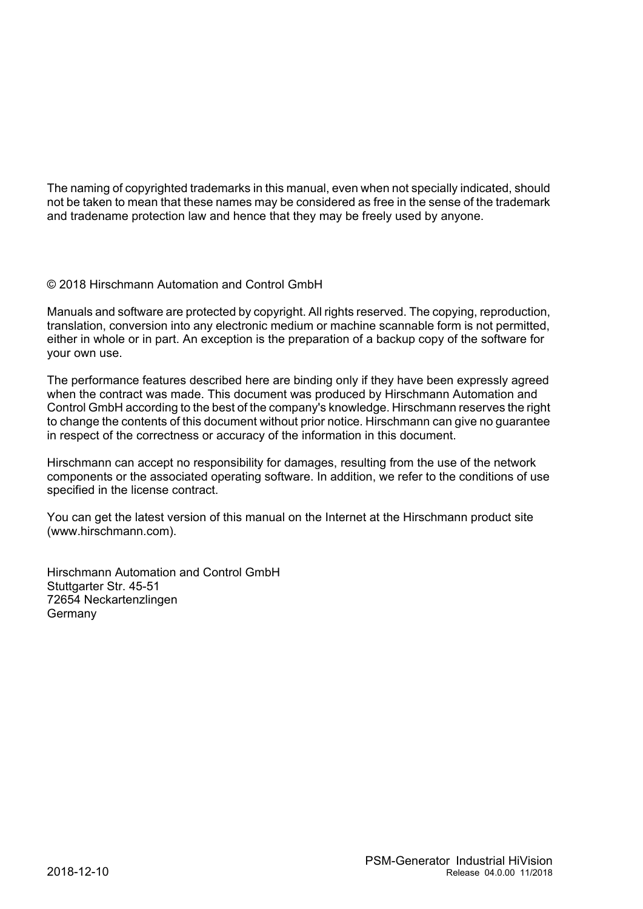The naming of copyrighted trademarks in this manual, even when not specially indicated, should not be taken to mean that these names may be considered as free in the sense of the trademark and tradename protection law and hence that they may be freely used by anyone.

#### © 2018 Hirschmann Automation and Control GmbH

Manuals and software are protected by copyright. All rights reserved. The copying, reproduction, translation, conversion into any electronic medium or machine scannable form is not permitted, either in whole or in part. An exception is the preparation of a backup copy of the software for your own use.

The performance features described here are binding only if they have been expressly agreed when the contract was made. This document was produced by Hirschmann Automation and Control GmbH according to the best of the company's knowledge. Hirschmann reserves the right to change the contents of this document without prior notice. Hirschmann can give no guarantee in respect of the correctness or accuracy of the information in this document.

Hirschmann can accept no responsibility for damages, resulting from the use of the network components or the associated operating software. In addition, we refer to the conditions of use specified in the license contract.

You can get the latest version of this manual on the Internet at the Hirschmann product site (www.hirschmann.com).

Hirschmann Automation and Control GmbH Stuttgarter Str. 45-51 72654 Neckartenzlingen **Germany**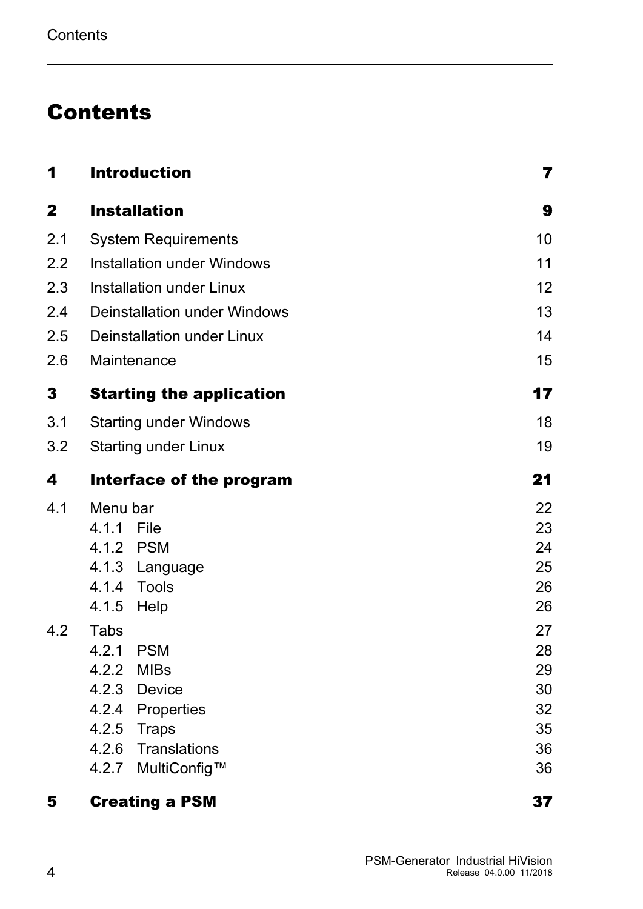### Contents

| 1            | <b>Introduction</b>                 | 7               |
|--------------|-------------------------------------|-----------------|
| $\mathbf{2}$ | <b>Installation</b>                 | 9               |
| 2.1          | <b>System Requirements</b>          | 10              |
| 2.2          | <b>Installation under Windows</b>   | 11              |
| 2.3          | <b>Installation under Linux</b>     | 12 <sub>2</sub> |
| 2.4          | <b>Deinstallation under Windows</b> | 13              |
| 2.5          | <b>Deinstallation under Linux</b>   | 14              |
| 2.6          | Maintenance                         | 15              |
| 3            | <b>Starting the application</b>     | 17              |
| 3.1          | <b>Starting under Windows</b>       | 18              |
| 3.2          | <b>Starting under Linux</b>         | 19              |
| 4            | Interface of the program            | 21              |
| 4.1          | Menu bar                            | 22              |
|              | 4.1.1 File                          | 23              |
|              | 4.1.2 PSM                           | 24              |
|              | 4.1.3 Language                      | 25              |
|              | 4.1.4 Tools                         | 26              |
|              | 4.1.5 Help                          | 26              |
| 4.2          | Tabs                                | 27              |
|              | 4.2.1 PSM                           | 28              |
|              | <b>MIBs</b><br>4.2.2                | 29              |
|              | 4.2.3<br><b>Device</b>              | 30              |
|              | 4.2.4<br>Properties                 | 32              |
|              | 4.2.5<br><b>Traps</b>               | 35              |
|              | 4.2.6<br><b>Translations</b>        | 36              |
|              | MultiConfig™<br>4.2.7               | 36              |

#### [5](#page-36-0) Creating a PSM [37](#page-36-0)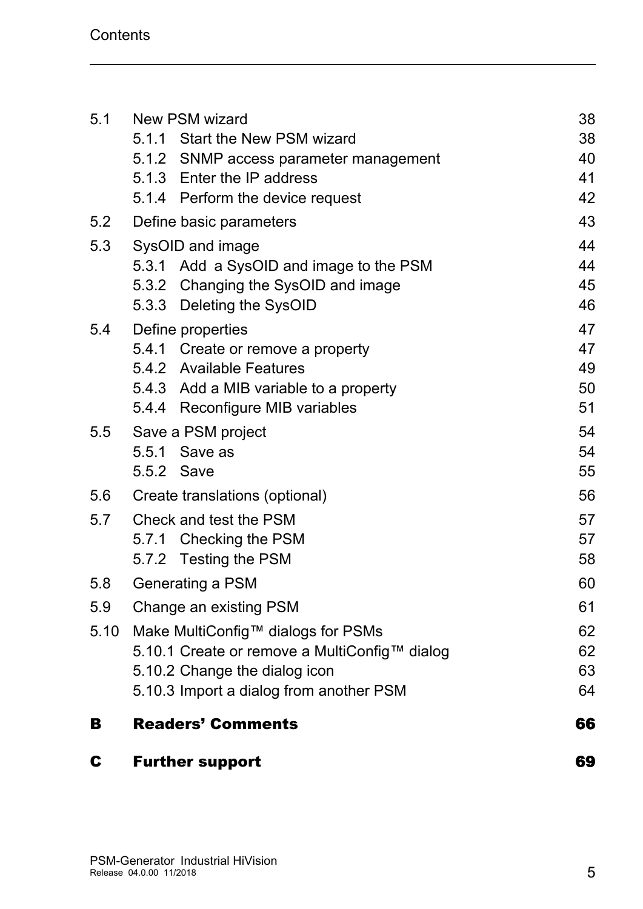| C    | <b>Further support</b>                                               | 69       |
|------|----------------------------------------------------------------------|----------|
| В    | <b>Readers' Comments</b>                                             | 66       |
|      | 5.10.3 Import a dialog from another PSM                              | 64       |
|      | 5.10.2 Change the dialog icon                                        | 63       |
|      | 5.10.1 Create or remove a MultiConfig™ dialog                        | 62       |
| 5.10 | Make MultiConfig™ dialogs for PSMs                                   | 62       |
| 5.9  | Change an existing PSM                                               | 61       |
| 5.8  | Generating a PSM                                                     | 60       |
|      | 5.7.1 Checking the PSM<br>5.7.2 Testing the PSM                      | 57<br>58 |
| 5.7  | Check and test the PSM                                               | 57       |
| 5.6  | Create translations (optional)                                       | 56       |
|      | 5.5.2 Save                                                           | 55       |
|      | 5.5.1 Save as                                                        | 54       |
| 5.5  | Save a PSM project                                                   | 54       |
|      | 5.4.4 Reconfigure MIB variables                                      | 51       |
|      | 5.4.3 Add a MIB variable to a property                               | 50       |
|      | 5.4.1 Create or remove a property<br>5.4.2 Available Features        | 47<br>49 |
| 5.4  | Define properties                                                    | 47       |
|      | 5.3.3 Deleting the SysOID                                            | 46       |
|      | 5.3.2 Changing the SysOID and image                                  | 45       |
|      | 5.3.1 Add a SysOID and image to the PSM                              | 44       |
| 5.3  | SysOID and image                                                     | 44       |
| 5.2  | Define basic parameters                                              | 43       |
|      | 5.1.4 Perform the device request                                     | 42       |
|      | 5.1.2 SNMP access parameter management<br>5.1.3 Enter the IP address | 40<br>41 |
|      | 5.1.1 Start the New PSM wizard                                       | 38       |
| 5.1  | New PSM wizard                                                       | 38       |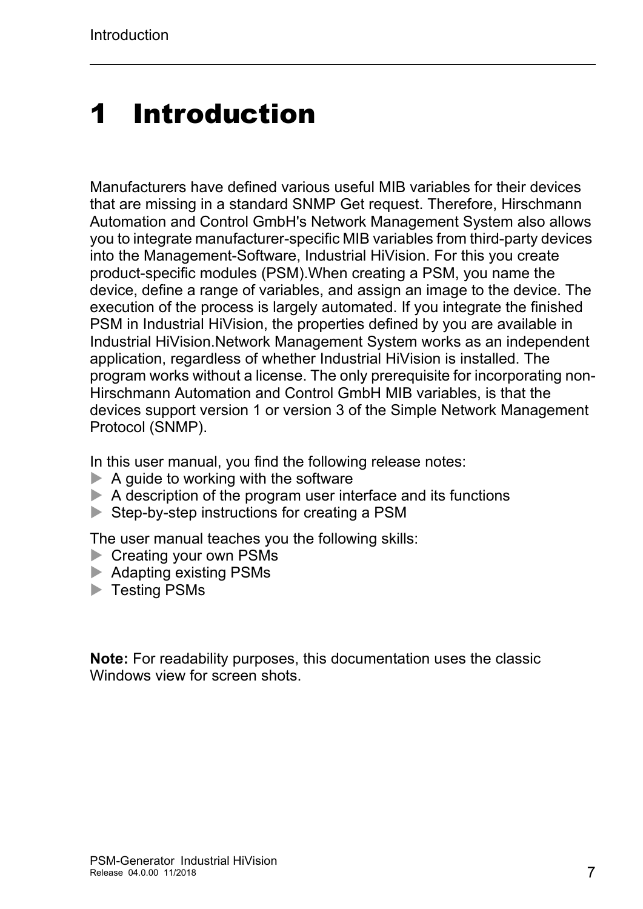## <span id="page-6-0"></span>1 Introduction

Manufacturers have defined various useful MIB variables for their devices that are missing in a standard SNMP Get request. Therefore, Hirschmann Automation and Control GmbH's Network Management System also allows you to integrate manufacturer-specific MIB variables from third-party devices into the Management-Software, Industrial HiVision. For this you create product-specific modules (PSM).When creating a PSM, you name the device, define a range of variables, and assign an image to the device. The execution of the process is largely automated. If you integrate the finished PSM in Industrial HiVision, the properties defined by you are available in Industrial HiVision.Network Management System works as an independent application, regardless of whether Industrial HiVision is installed. The program works without a license. The only prerequisite for incorporating non-Hirschmann Automation and Control GmbH MIB variables, is that the devices support version 1 or version 3 of the Simple Network Management Protocol (SNMP).

In this user manual, you find the following release notes:

- $\blacktriangleright$  A guide to working with the software
- $\triangleright$  A description of the program user interface and its functions
- Step-by-step instructions for creating a PSM

The user manual teaches you the following skills:

- Creating your own PSMs
- ▶ Adapting existing PSMs
- **Testing PSMs**

**Note:** For readability purposes, this documentation uses the classic Windows view for screen shots.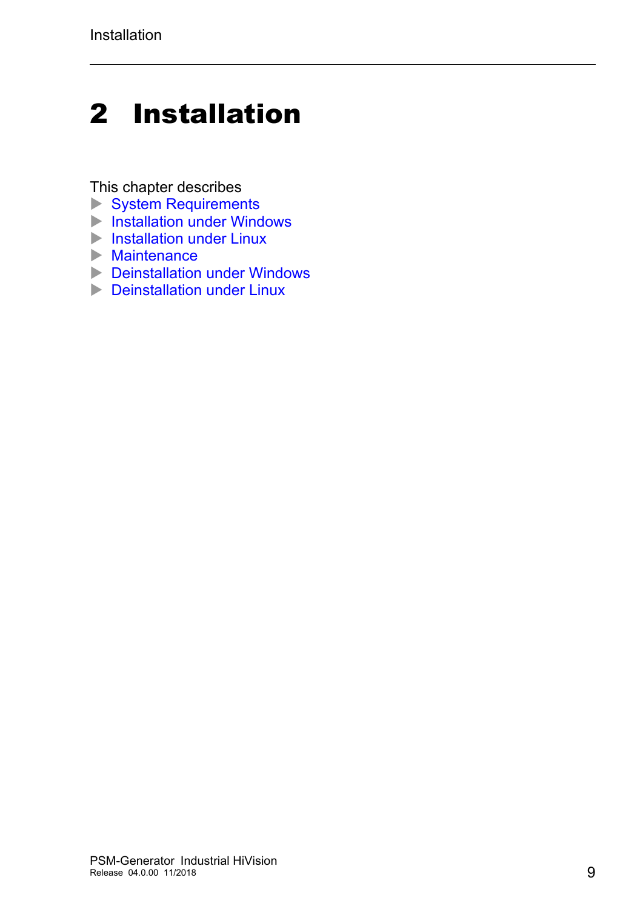## <span id="page-8-0"></span>2 Installation

This chapter describes

- [System Requirements](#page-9-0)
- **[Installation under Windows](#page-10-0)**
- **[Installation under Linux](#page-11-0)**
- $\blacktriangleright$  [Maintenance](#page-14-0)
- **[Deinstallation under Windows](#page-12-0)**
- **[Deinstallation under Linux](#page-13-0)**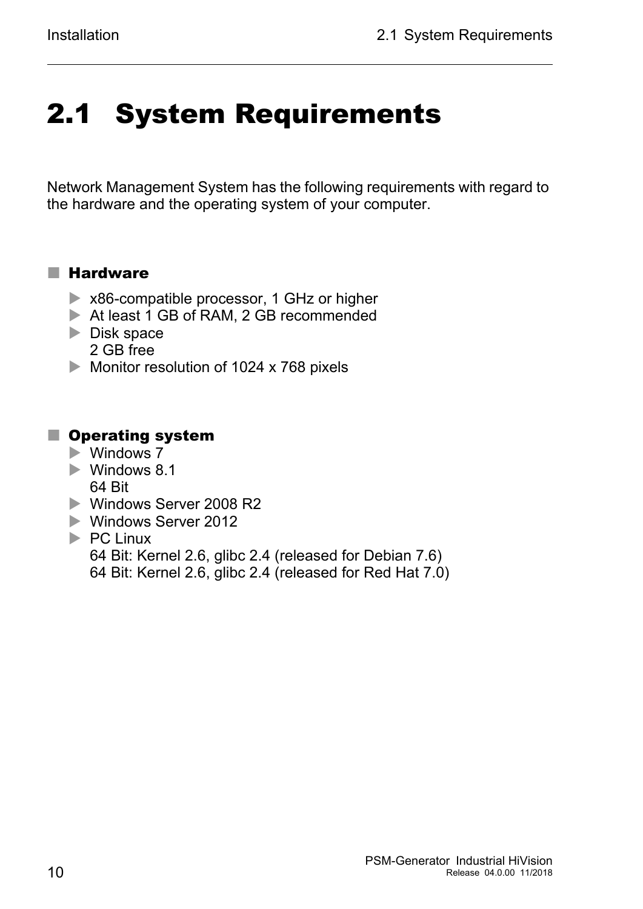# <span id="page-9-0"></span>2.1 System Requirements

Network Management System has the following requirements with regard to the hardware and the operating system of your computer.

#### **■ Hardware**

- ▶ x86-compatible processor, 1 GHz or higher
- At least 1 GB of RAM, 2 GB recommended
- $\triangleright$  Disk space 2 GB free
- Monitor resolution of 1024 x 768 pixels

#### **Operating system**

- ▶ Windows 7
- **Windows 8.1** 64 Bit
- ▶ Windows Server 2008 R2
- ▶ Windows Server 2012
- $\blacktriangleright$  PC Linux 64 Bit: Kernel 2.6, glibc 2.4 (released for Debian 7.6) 64 Bit: Kernel 2.6, glibc 2.4 (released for Red Hat 7.0)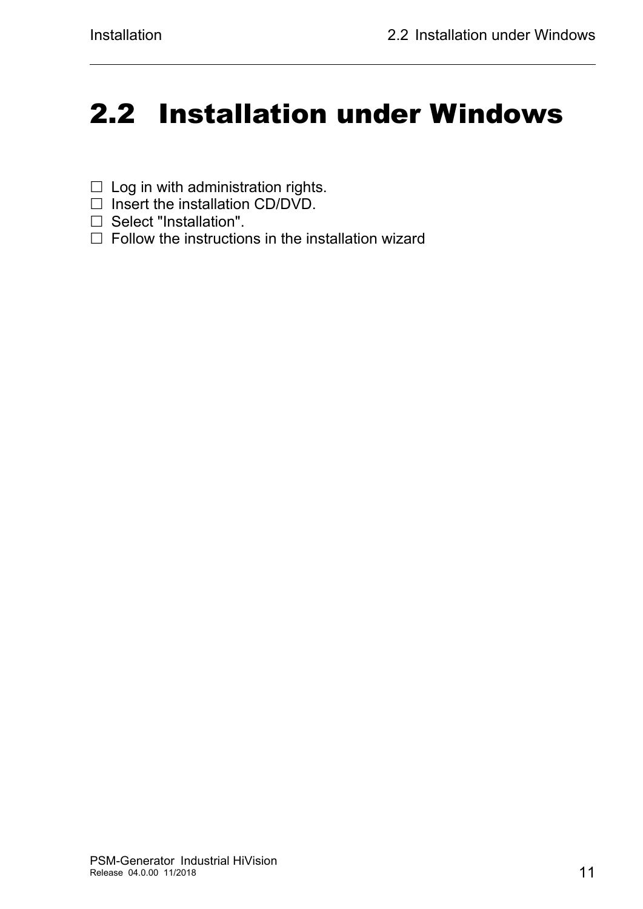## <span id="page-10-0"></span>2.2 Installation under Windows

- $\Box$  Log in with administration rights.
- $\Box$  Insert the installation CD/DVD.
- $\Box$  Select "Installation".
- $\Box$  Follow the instructions in the installation wizard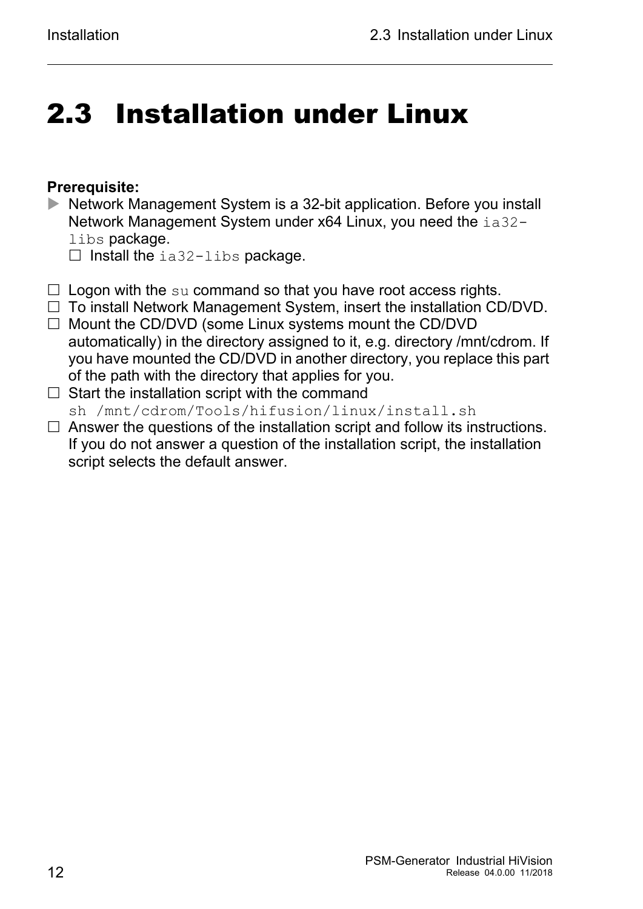## <span id="page-11-0"></span>2.3 Installation under Linux

#### **Prerequisite:**

- Network Management System is a 32-bit application. Before you install Network Management System under x64 Linux, you need the ia32 libs package.
	- $\Box$  Install the ia32-libs package.
- $\Box$  Logon with the su command so that you have root access rights.
- $\Box$  To install Network Management System, insert the installation CD/DVD.
- $\Box$  Mount the CD/DVD (some Linux systems mount the CD/DVD automatically) in the directory assigned to it, e.g. directory /mnt/cdrom. If you have mounted the CD/DVD in another directory, you replace this part of the path with the directory that applies for you.
- $\Box$  Start the installation script with the command sh /mnt/cdrom/Tools/hifusion/linux/install.sh
- $\Box$  Answer the questions of the installation script and follow its instructions. If you do not answer a question of the installation script, the installation script selects the default answer.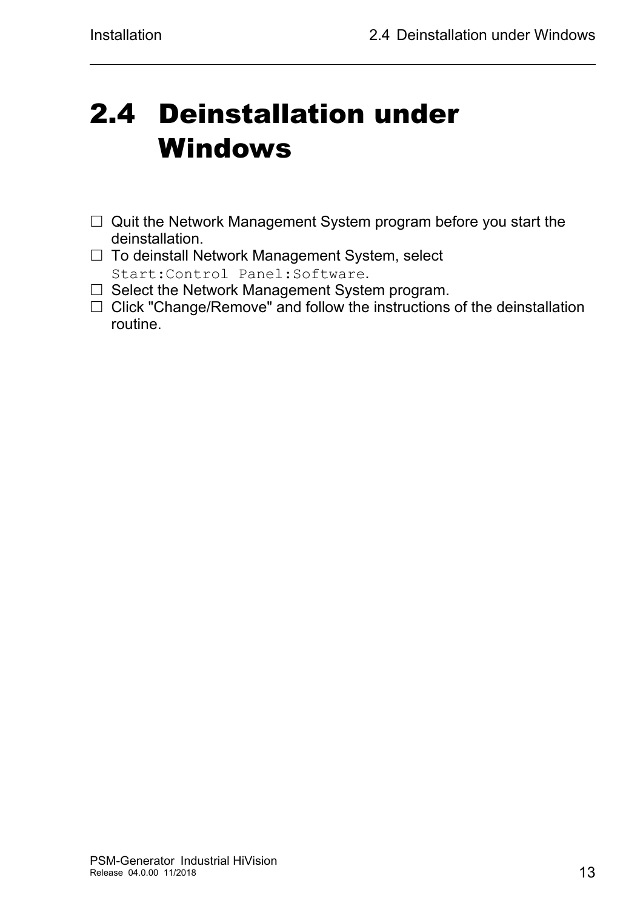## <span id="page-12-0"></span>2.4 Deinstallation under Windows

- $\Box$  Quit the Network Management System program before you start the deinstallation.
- $\Box$  To deinstall Network Management System, select Start:Control Panel:Software.
- $\Box$  Select the Network Management System program.
- $\Box$  Click "Change/Remove" and follow the instructions of the deinstallation routine.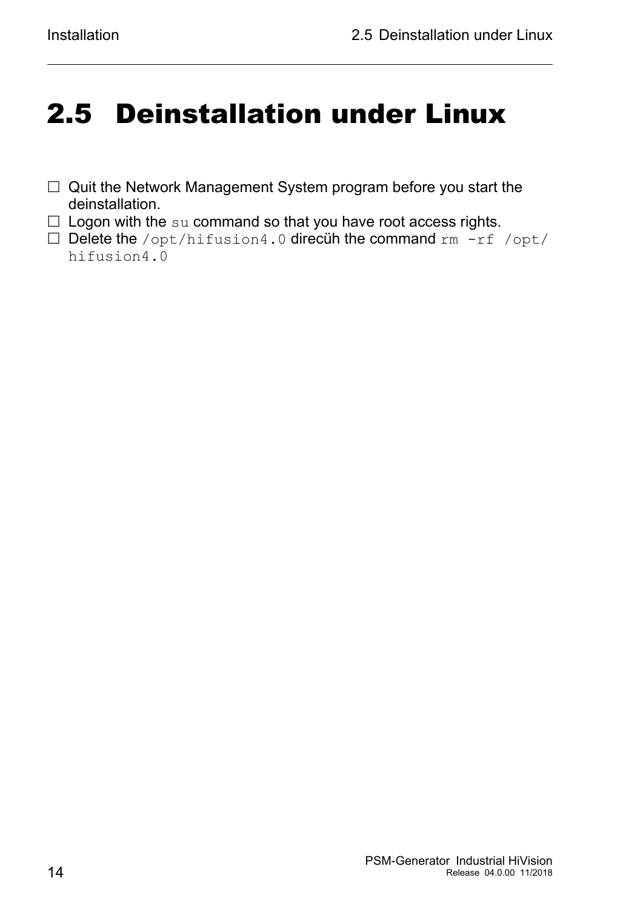## <span id="page-13-0"></span>2.5 Deinstallation under Linux

- □ Quit the Network Management System program before you start the deinstallation.
- $\square$  Logon with the su command so that you have root access rights.
- $\square$  Delete the /opt/hifusion4.0 direcuh the command rm  $-rf$  /opt/ hifusion4.0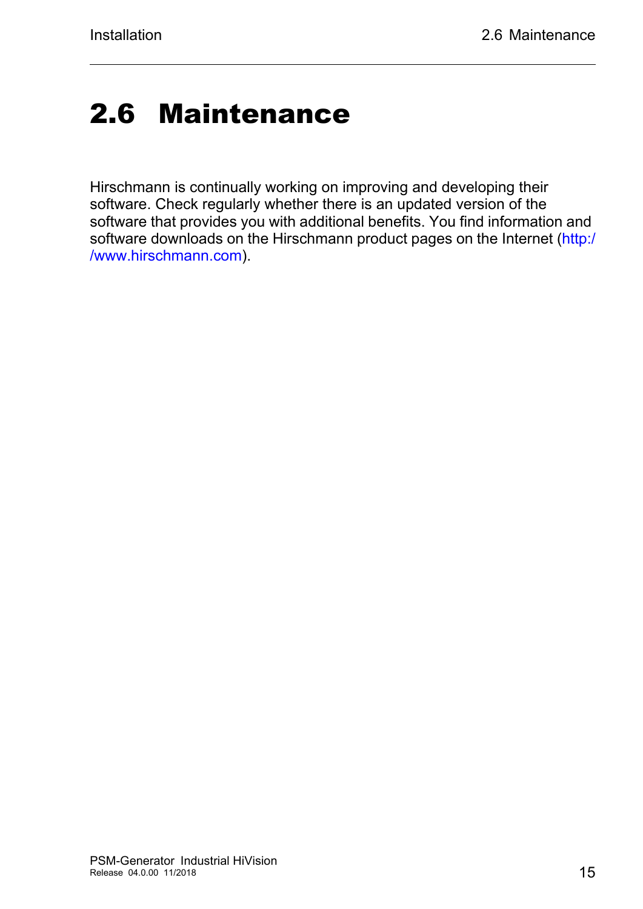## <span id="page-14-0"></span>2.6 Maintenance

Hirschmann is continually working on improving and developing their software. Check regularly whether there is an updated version of the [software that provides you with additional benefits. You find information and](http://www.hirschmann.com)  [software downloads on the Hirschmann product pages on the Internet \(](http://www.hirschmann.com)http:/ /www.hirschmann.com).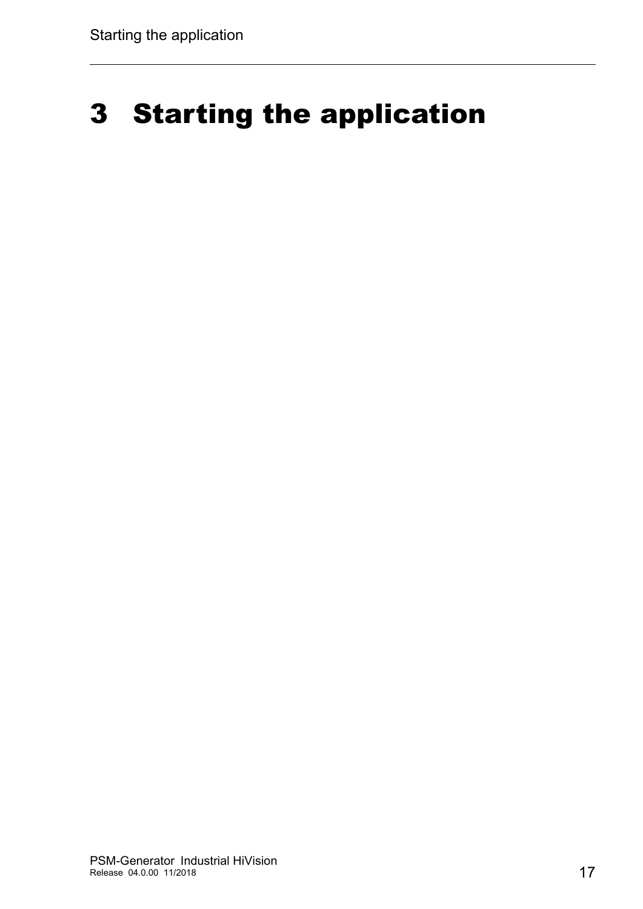## <span id="page-16-0"></span>3 Starting the application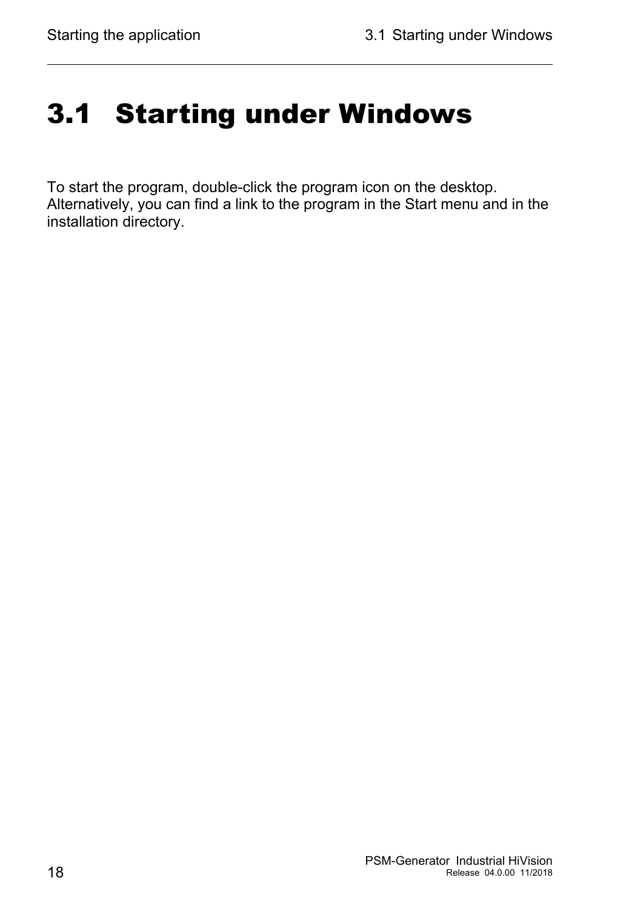## <span id="page-17-0"></span>3.1 Starting under Windows

To start the program, double-click the program icon on the desktop. Alternatively, you can find a link to the program in the Start menu and in the installation directory.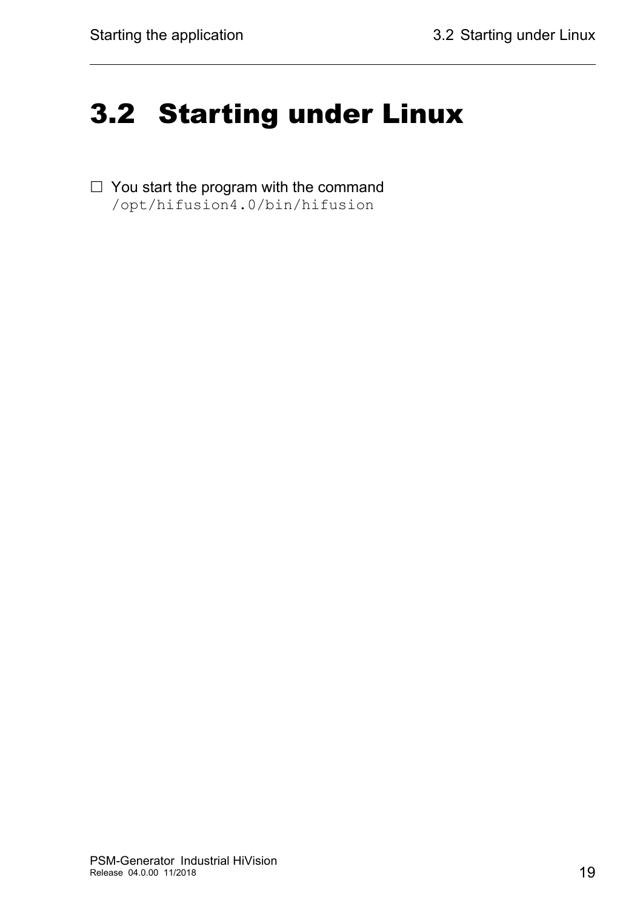## <span id="page-18-0"></span>3.2 Starting under Linux

 $\Box$  You start the program with the command /opt/hifusion4.0/bin/hifusion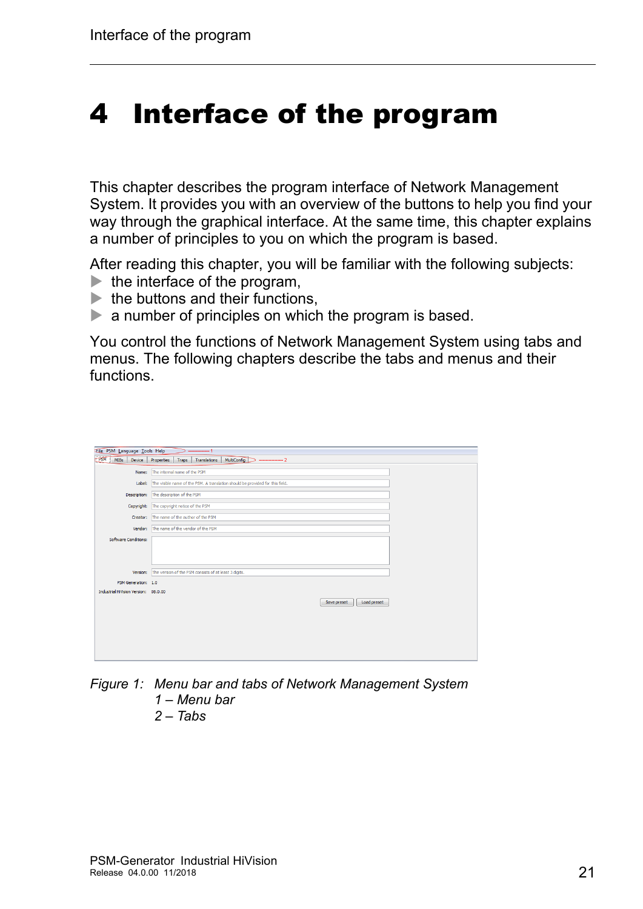## <span id="page-20-0"></span>4 Interface of the program

This chapter describes the program interface of Network Management System. It provides you with an overview of the buttons to help you find your way through the graphical interface. At the same time, this chapter explains a number of principles to you on which the program is based.

After reading this chapter, you will be familiar with the following subjects:  $\blacktriangleright$  the interface of the program,

- 
- $\blacktriangleright$  the buttons and their functions,
- $\triangleright$  a number of principles on which the program is based.

You control the functions of Network Management System using tabs and menus. The following chapters describe the tabs and menus and their functions.

| Eile PSM Language Tools Help<br>$-1$ |                                                                               |  |  |  |  |
|--------------------------------------|-------------------------------------------------------------------------------|--|--|--|--|
| PSM MIBs<br>Device                   | MultiConfig<br>Translations<br>Properties<br>Traps<br>------------------- 2   |  |  |  |  |
| Name:                                | The internal name of the PSM                                                  |  |  |  |  |
| Label:                               | The visible name of the PSM. A translation should be provided for this field. |  |  |  |  |
| Description:                         | The description of the PSM                                                    |  |  |  |  |
| Copyright:                           | The copyright notice of the PSM                                               |  |  |  |  |
| Creator:                             | The name of the author of the PSM                                             |  |  |  |  |
| Vendor:                              | The name of the vendor of the PSM                                             |  |  |  |  |
| <b>Software Conditions:</b>          |                                                                               |  |  |  |  |
|                                      |                                                                               |  |  |  |  |
|                                      |                                                                               |  |  |  |  |
| Version:                             | The version of the PSM consists of at least 3 digits.                         |  |  |  |  |
| PSM Generation: 1.0                  |                                                                               |  |  |  |  |
| Industrial HiVision Version: 08.0.00 |                                                                               |  |  |  |  |
|                                      | Load preset<br>Save preset                                                    |  |  |  |  |
|                                      |                                                                               |  |  |  |  |
|                                      |                                                                               |  |  |  |  |
|                                      |                                                                               |  |  |  |  |
|                                      |                                                                               |  |  |  |  |
|                                      |                                                                               |  |  |  |  |
|                                      |                                                                               |  |  |  |  |

- *Figure 1: Menu bar and tabs of Network Management System 1 – Menu bar*
	- *2 Tabs*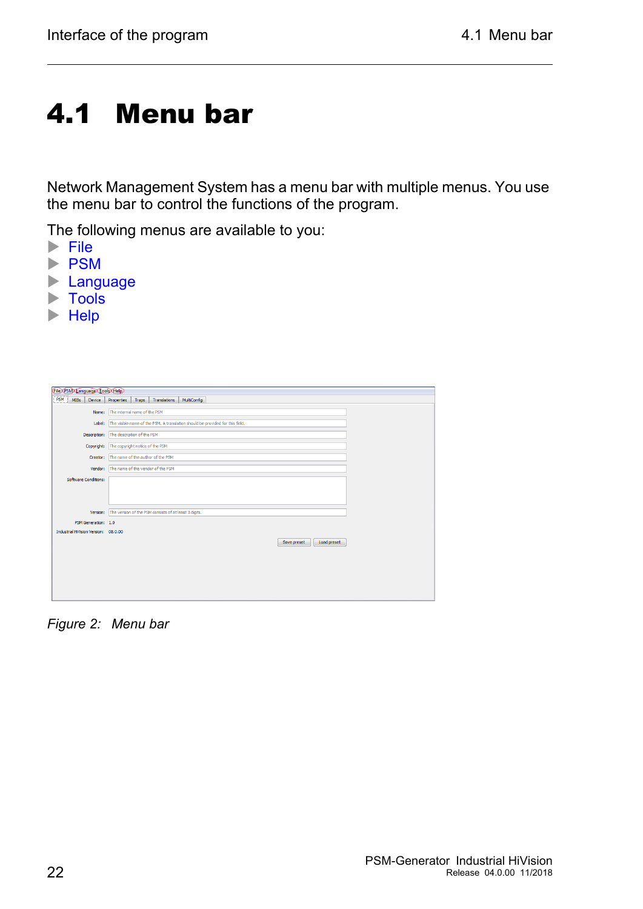# <span id="page-21-0"></span>4.1 Menu bar

Network Management System has a menu bar with multiple menus. You use the menu bar to control the functions of the program.

The following menus are available to you:

- $\blacktriangleright$  [File](#page-22-0)
- **[PSM](#page-23-0)**
- **[Language](#page-24-0)**
- $\blacktriangleright$  [Tools](#page-25-0)
- $\blacktriangleright$  [Help](#page-25-1)

| File PSM Language Tools Help                                      |                                                                               |  |  |  |
|-------------------------------------------------------------------|-------------------------------------------------------------------------------|--|--|--|
| PSM<br>MIBs<br>Device                                             | MultiConfig<br>Translations<br>Properties<br>Traps                            |  |  |  |
| Name:                                                             | The internal name of the PSM                                                  |  |  |  |
| Label:                                                            | The visible name of the PSM. A translation should be provided for this field. |  |  |  |
| Description:                                                      | The description of the PSM                                                    |  |  |  |
| The copyright notice of the PSM<br>Copyright:                     |                                                                               |  |  |  |
| Creator:                                                          | The name of the author of the PSM                                             |  |  |  |
| Vendor:                                                           | The name of the vendor of the PSM                                             |  |  |  |
| <b>Software Conditions:</b>                                       |                                                                               |  |  |  |
| The version of the PSM consists of at least 3 digits.<br>Version: |                                                                               |  |  |  |
| PSM Generation: 1.0                                               |                                                                               |  |  |  |
| Industrial HiVision Version: 08.0.00                              | Load preset<br>Save preset                                                    |  |  |  |
|                                                                   |                                                                               |  |  |  |
|                                                                   |                                                                               |  |  |  |
|                                                                   |                                                                               |  |  |  |
|                                                                   |                                                                               |  |  |  |

*Figure 2: Menu bar*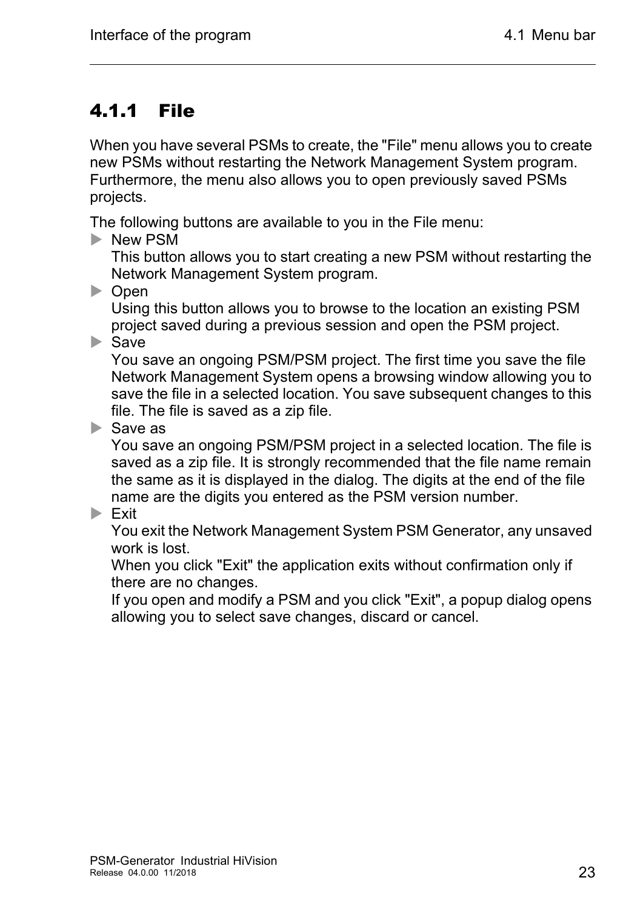### <span id="page-22-0"></span>4.1.1 File

When you have several PSMs to create, the "File" menu allows you to create new PSMs without restarting the Network Management System program. Furthermore, the menu also allows you to open previously saved PSMs projects.

The following buttons are available to you in the File menu:

New PSM

This button allows you to start creating a new PSM without restarting the Network Management System program.

▶ Open

Using this button allows you to browse to the location an existing PSM project saved during a previous session and open the PSM project.

 $\blacktriangleright$  Save

You save an ongoing PSM/PSM project. The first time you save the file Network Management System opens a browsing window allowing you to save the file in a selected location. You save subsequent changes to this file. The file is saved as a zip file.

 $\triangleright$  Save as

You save an ongoing PSM/PSM project in a selected location. The file is saved as a zip file. It is strongly recommended that the file name remain the same as it is displayed in the dialog. The digits at the end of the file name are the digits you entered as the PSM version number.

#### $\blacktriangleright$  Exit

You exit the Network Management System PSM Generator, any unsaved work is lost.

When you click "Exit" the application exits without confirmation only if there are no changes.

If you open and modify a PSM and you click "Exit", a popup dialog opens allowing you to select save changes, discard or cancel.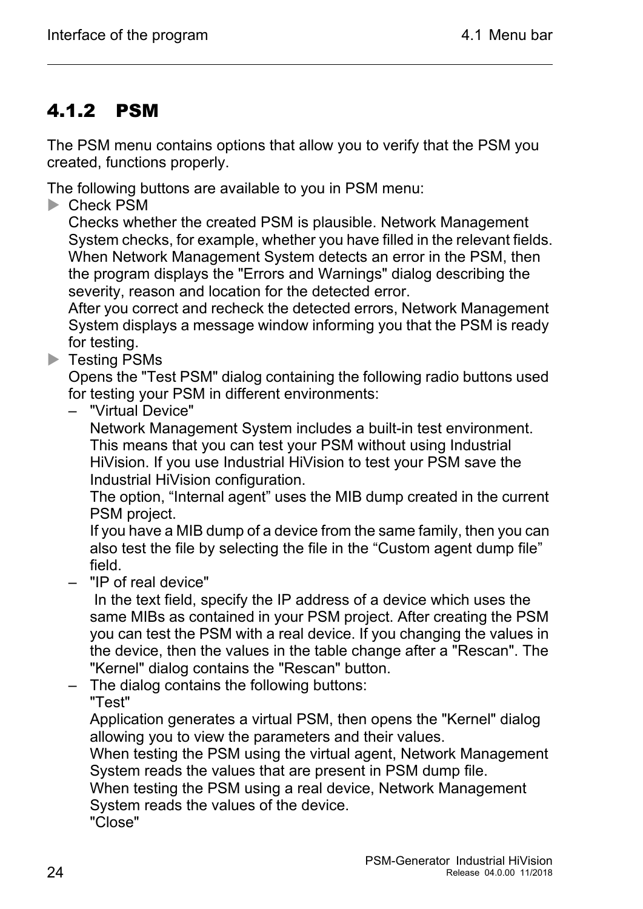### <span id="page-23-0"></span>4.1.2 PSM

The PSM menu contains options that allow you to verify that the PSM you created, functions properly.

The following buttons are available to you in PSM menu:

**Check PSM** 

Checks whether the created PSM is plausible. Network Management System checks, for example, whether you have filled in the relevant fields. When Network Management System detects an error in the PSM, then the program displays the "Errors and Warnings" dialog describing the severity, reason and location for the detected error.

After you correct and recheck the detected errors, Network Management System displays a message window informing you that the PSM is ready for testing.

**Testing PSMs** 

Opens the "Test PSM" dialog containing the following radio buttons used for testing your PSM in different environments:

– "Virtual Device"

Network Management System includes a built-in test environment. This means that you can test your PSM without using Industrial HiVision. If you use Industrial HiVision to test your PSM save the Industrial HiVision configuration.

The option, "Internal agent" uses the MIB dump created in the current PSM project.

If you have a MIB dump of a device from the same family, then you can also test the file by selecting the file in the "Custom agent dump file" field.

– "IP of real device"

 In the text field, specify the IP address of a device which uses the same MIBs as contained in your PSM project. After creating the PSM you can test the PSM with a real device. If you changing the values in the device, then the values in the table change after a "Rescan". The "Kernel" dialog contains the "Rescan" button.

– The dialog contains the following buttons:

"Test"

Application generates a virtual PSM, then opens the "Kernel" dialog allowing you to view the parameters and their values.

When testing the PSM using the virtual agent, Network Management System reads the values that are present in PSM dump file.

When testing the PSM using a real device, Network Management System reads the values of the device.

"Close"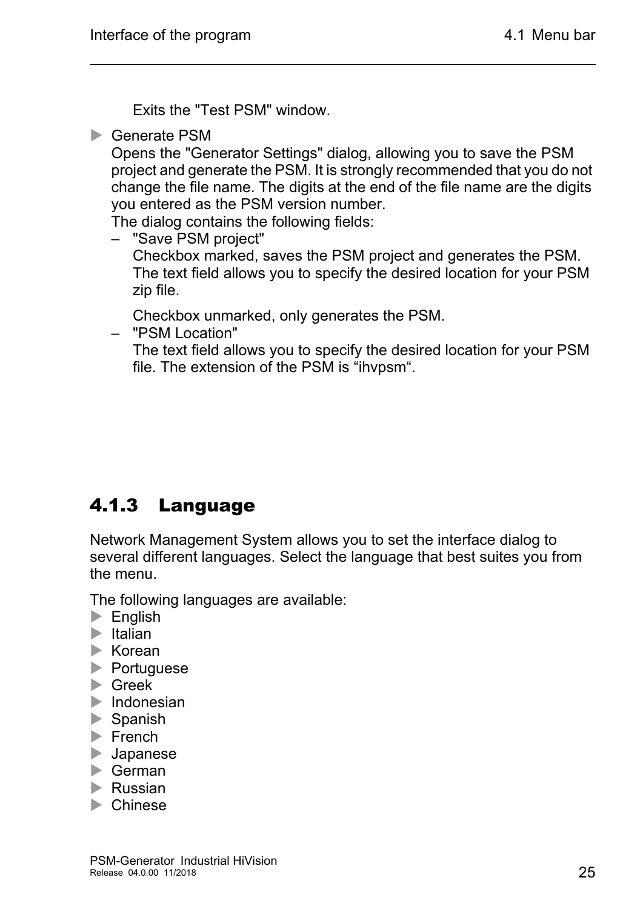Exits the "Test PSM" window.

▶ Generate PSM

Opens the "Generator Settings" dialog, allowing you to save the PSM project and generate the PSM. It is strongly recommended that you do not change the file name. The digits at the end of the file name are the digits you entered as the PSM version number.

The dialog contains the following fields:

– "Save PSM project" Checkbox marked, saves the PSM project and generates the PSM. The text field allows you to specify the desired location for your PSM zip file.

Checkbox unmarked, only generates the PSM.

– "PSM Location"

The text field allows you to specify the desired location for your PSM file. The extension of the PSM is "ihvpsm".

### <span id="page-24-0"></span>4.1.3 Language

Network Management System allows you to set the interface dialog to several different languages. Select the language that best suites you from the menu.

The following languages are available:

- $\blacktriangleright$  English
- $\blacktriangleright$  Italian
- $\blacktriangleright$  Korean
- **Portuguese**
- **Greek**
- $\blacktriangleright$  Indonesian
- Spanish
- $\blacktriangleright$  French
- **Japanese**
- German
- **Russian**
- **Chinese**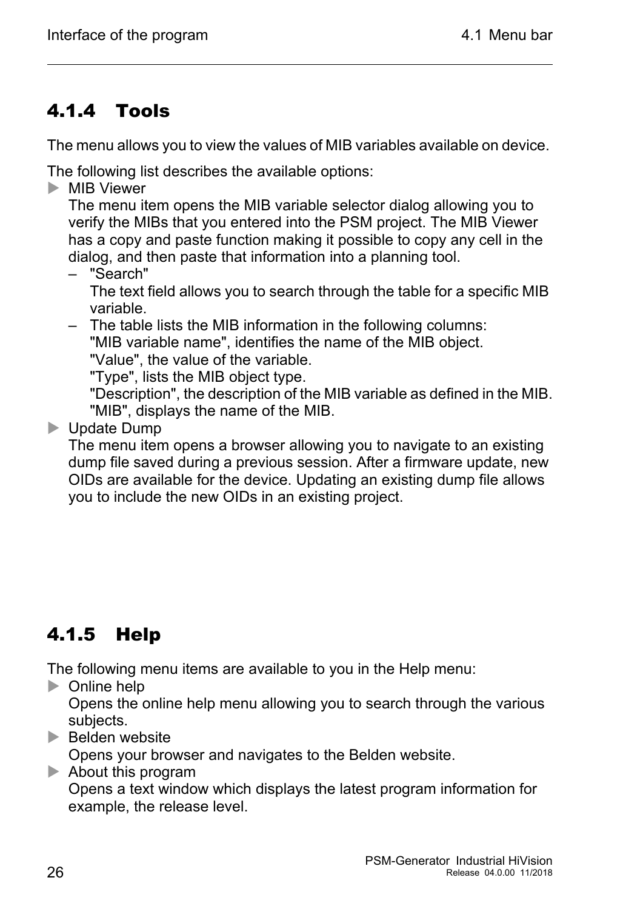### <span id="page-25-0"></span>4.1.4 Tools

The menu allows you to view the values of MIB variables available on device.

The following list describes the available options:

**MIB Viewer** 

The menu item opens the MIB variable selector dialog allowing you to verify the MIBs that you entered into the PSM project. The MIB Viewer has a copy and paste function making it possible to copy any cell in the dialog, and then paste that information into a planning tool.

– "Search"

The text field allows you to search through the table for a specific MIB variable.

– The table lists the MIB information in the following columns: "MIB variable name", identifies the name of the MIB object.

"Value", the value of the variable.

"Type", lists the MIB object type.

"Description", the description of the MIB variable as defined in the MIB. "MIB", displays the name of the MIB.

**D** Update Dump

The menu item opens a browser allowing you to navigate to an existing dump file saved during a previous session. After a firmware update, new OIDs are available for the device. Updating an existing dump file allows you to include the new OIDs in an existing project.

### <span id="page-25-1"></span>4.1.5 Help

The following menu items are available to you in the Help menu:

**Decimal** Online help

Opens the online help menu allowing you to search through the various subjects.

 $\blacktriangleright$  Belden website

Opens your browser and navigates to the Belden website.

About this program

Opens a text window which displays the latest program information for example, the release level.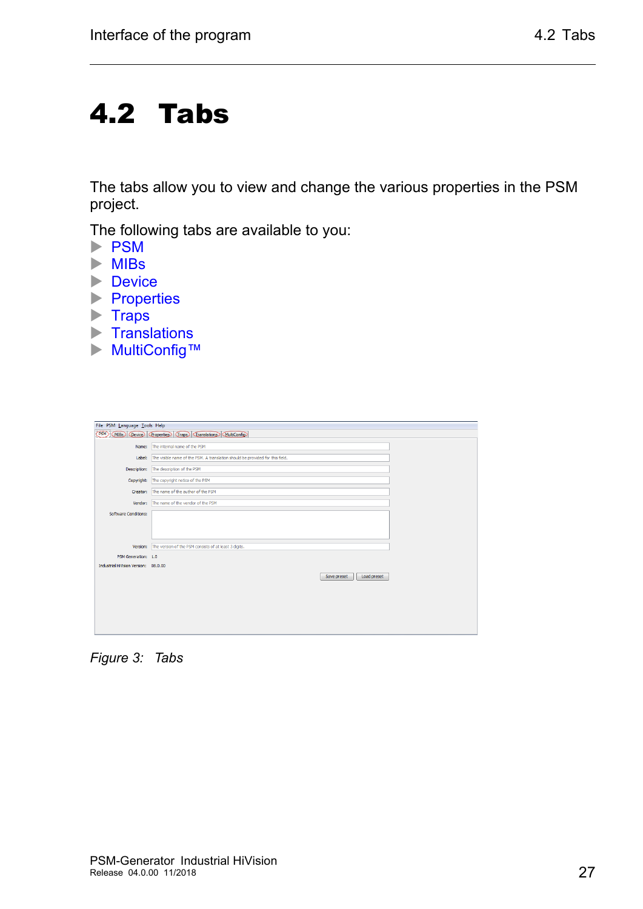## <span id="page-26-0"></span>4.2 Tabs

The tabs allow you to view and change the various properties in the PSM project.

The following tabs are available to you:

- [PSM](#page-27-0)
- $\blacktriangleright$  [MIBs](#page-28-0)
- **[Device](#page-29-0)**
- **[Properties](#page-31-0)**
- $\blacktriangleright$  [Traps](#page-34-0)
- $\blacktriangleright$  [Translations](#page-35-0)
- [MultiConfig™](#page-35-1)

| File PSM Language Tools Help                                        |                                                                               |  |  |  |
|---------------------------------------------------------------------|-------------------------------------------------------------------------------|--|--|--|
| (PSM)<br>Device Properties Traps Translations MultiConfig<br>(MIBs) |                                                                               |  |  |  |
| Name:                                                               | The internal name of the PSM                                                  |  |  |  |
|                                                                     |                                                                               |  |  |  |
| Label:                                                              | The visible name of the PSM. A translation should be provided for this field. |  |  |  |
| Description:                                                        | The description of the PSM                                                    |  |  |  |
| Copyright:                                                          | The copyright notice of the PSM                                               |  |  |  |
| Creator:                                                            | The name of the author of the PSM                                             |  |  |  |
| Vendor:                                                             | The name of the vendor of the PSM                                             |  |  |  |
| Software Conditions:                                                |                                                                               |  |  |  |
|                                                                     |                                                                               |  |  |  |
|                                                                     |                                                                               |  |  |  |
| Version:                                                            | The version of the PSM consists of at least 3 digits.                         |  |  |  |
|                                                                     |                                                                               |  |  |  |
| PSM Generation: 1.0                                                 |                                                                               |  |  |  |
| Industrial HiVision Version: 08.0.00                                |                                                                               |  |  |  |
|                                                                     | Load preset<br>Save preset                                                    |  |  |  |
|                                                                     |                                                                               |  |  |  |
|                                                                     |                                                                               |  |  |  |
|                                                                     |                                                                               |  |  |  |
|                                                                     |                                                                               |  |  |  |
|                                                                     |                                                                               |  |  |  |
|                                                                     |                                                                               |  |  |  |

*Figure 3: Tabs*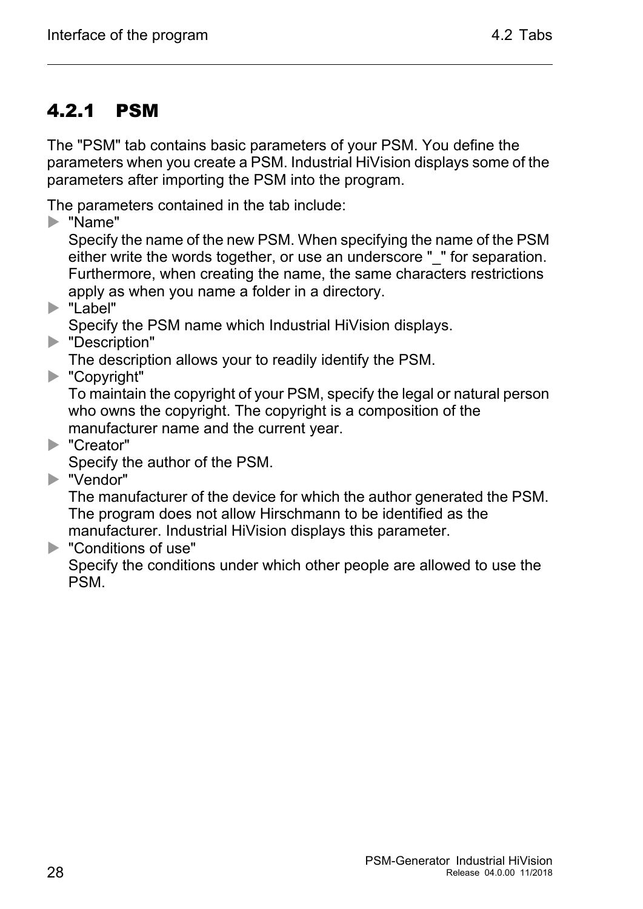### <span id="page-27-0"></span>4.2.1 PSM

The "PSM" tab contains basic parameters of your PSM. You define the parameters when you create a PSM. Industrial HiVision displays some of the parameters after importing the PSM into the program.

The parameters contained in the tab include:

"Name"

Specify the name of the new PSM. When specifying the name of the PSM either write the words together, or use an underscore "\_" for separation. Furthermore, when creating the name, the same characters restrictions apply as when you name a folder in a directory.

"Label"

Specify the PSM name which Industrial HiVision displays.

**Description"** 

The description allows your to readily identify the PSM.

▶ "Copyright"

To maintain the copyright of your PSM, specify the legal or natural person who owns the copyright. The copyright is a composition of the manufacturer name and the current year.

▶ "Creator"

Specify the author of the PSM.

▶ "Vendor"

The manufacturer of the device for which the author generated the PSM. The program does not allow Hirschmann to be identified as the manufacturer. Industrial HiVision displays this parameter.

**EX "Conditions of use"** 

Specify the conditions under which other people are allowed to use the PSM.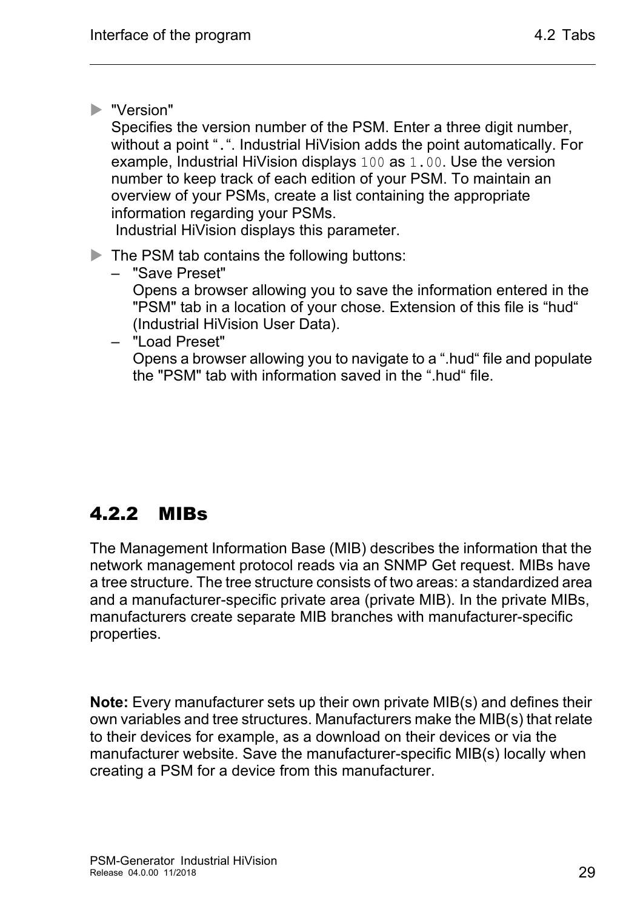▶ "Version"

Specifies the version number of the PSM. Enter a three digit number, without a point ".". Industrial HiVision adds the point automatically. For example, Industrial HiVision displays 100 as 1.00. Use the version number to keep track of each edition of your PSM. To maintain an overview of your PSMs, create a list containing the appropriate information regarding your PSMs.

Industrial HiVision displays this parameter.

- The PSM tab contains the following buttons:
	- "Save Preset" Opens a browser allowing you to save the information entered in the "PSM" tab in a location of your chose. Extension of this file is "hud" (Industrial HiVision User Data).
		- "Load Preset"

Opens a browser allowing you to navigate to a ".hud" file and populate the "PSM" tab with information saved in the ".hud" file.

### <span id="page-28-0"></span>4.2.2 MIBs

The Management Information Base (MIB) describes the information that the network management protocol reads via an SNMP Get request. MIBs have a tree structure. The tree structure consists of two areas: a standardized area and a manufacturer-specific private area (private MIB). In the private MIBs, manufacturers create separate MIB branches with manufacturer-specific properties.

**Note:** Every manufacturer sets up their own private MIB(s) and defines their own variables and tree structures. Manufacturers make the MIB(s) that relate to their devices for example, as a download on their devices or via the manufacturer website. Save the manufacturer-specific MIB(s) locally when creating a PSM for a device from this manufacturer.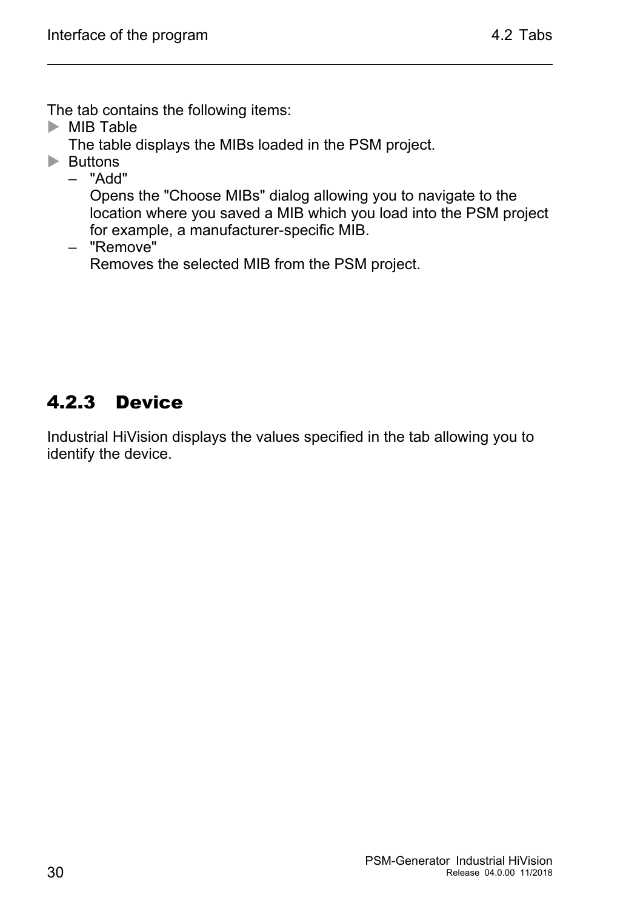The tab contains the following items:

 $\triangleright$  MIB Table

The table displays the MIBs loaded in the PSM project.

**Buttons** 

– "Add"

Opens the "Choose MIBs" dialog allowing you to navigate to the location where you saved a MIB which you load into the PSM project for example, a manufacturer-specific MIB.

– "Remove"

Removes the selected MIB from the PSM project.

### <span id="page-29-0"></span>4.2.3 Device

Industrial HiVision displays the values specified in the tab allowing you to identify the device.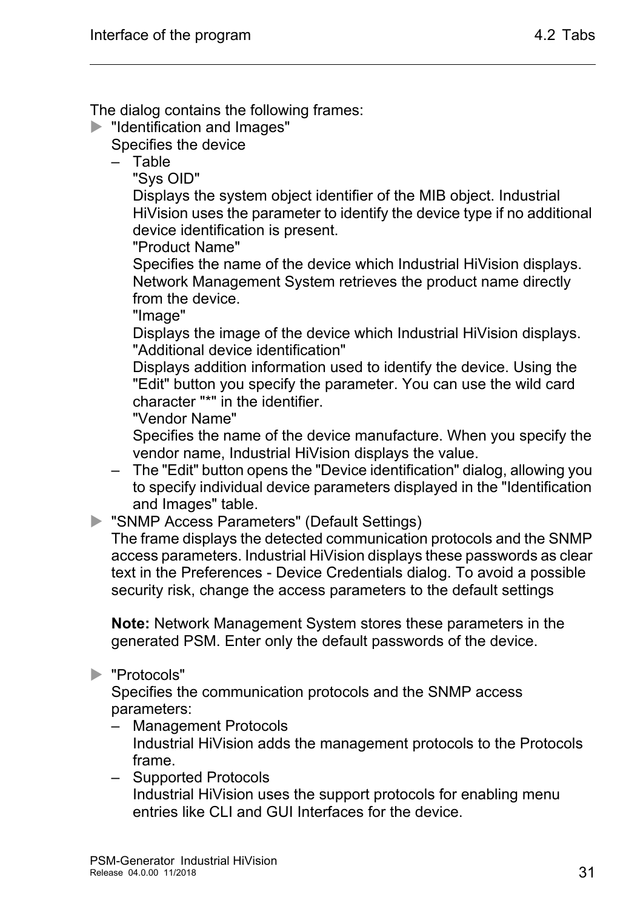The dialog contains the following frames:

**IDENT** "Identification and Images"

Specifies the device

– Table

"Sys OID"

Displays the system object identifier of the MIB object. Industrial HiVision uses the parameter to identify the device type if no additional device identification is present.

"Product Name"

Specifies the name of the device which Industrial HiVision displays. Network Management System retrieves the product name directly from the device.

"Image"

Displays the image of the device which Industrial HiVision displays. "Additional device identification"

Displays addition information used to identify the device. Using the "Edit" button you specify the parameter. You can use the wild card character "\*" in the identifier.

"Vendor Name"

Specifies the name of the device manufacture. When you specify the vendor name, Industrial HiVision displays the value.

– The "Edit" button opens the "Device identification" dialog, allowing you to specify individual device parameters displayed in the "Identification and Images" table.

"SNMP Access Parameters" (Default Settings)

The frame displays the detected communication protocols and the SNMP access parameters. Industrial HiVision displays these passwords as clear text in the Preferences - Device Credentials dialog. To avoid a possible security risk, change the access parameters to the default settings

**Note:** Network Management System stores these parameters in the generated PSM. Enter only the default passwords of the device.

#### ▶ "Protocols"

Specifies the communication protocols and the SNMP access parameters:

- Management Protocols Industrial HiVision adds the management protocols to the Protocols frame.
- Supported Protocols Industrial HiVision uses the support protocols for enabling menu entries like CLI and GUI Interfaces for the device.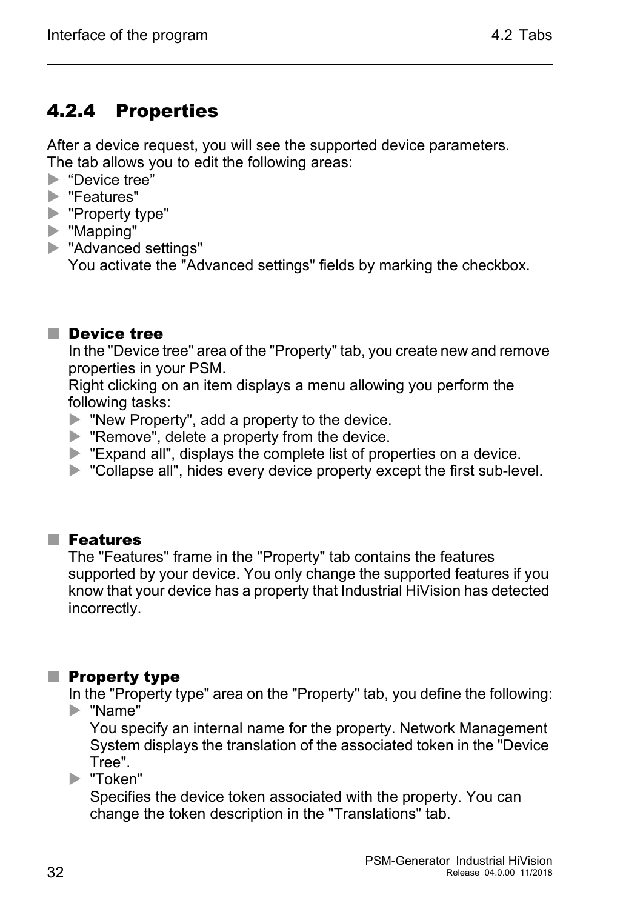### <span id="page-31-0"></span>4.2.4 Properties

After a device request, you will see the supported device parameters. The tab allows you to edit the following areas:

- **Device tree"**
- ▶ "Features"
- ▶ "Property type"
- "Mapping"
- **N** "Advanced settings" You activate the "Advanced settings" fields by marking the checkbox.

#### **Device tree**

In the "Device tree" area of the "Property" tab, you create new and remove properties in your PSM.

Right clicking on an item displays a menu allowing you perform the following tasks:

- ▶ "New Property", add a property to the device.
- **EX "Remove", delete a property from the device.**
- Expand all", displays the complete list of properties on a device.
- **D** "Collapse all", hides every device property except the first sub-level.

#### **Features**

The "Features" frame in the "Property" tab contains the features supported by your device. You only change the supported features if you know that your device has a property that Industrial HiVision has detected incorrectly.

#### $\blacksquare$  Property type

In the "Property type" area on the "Property" tab, you define the following: "Name"

You specify an internal name for the property. Network Management System displays the translation of the associated token in the "Device Tree".

"Token"

Specifies the device token associated with the property. You can change the token description in the "Translations" tab.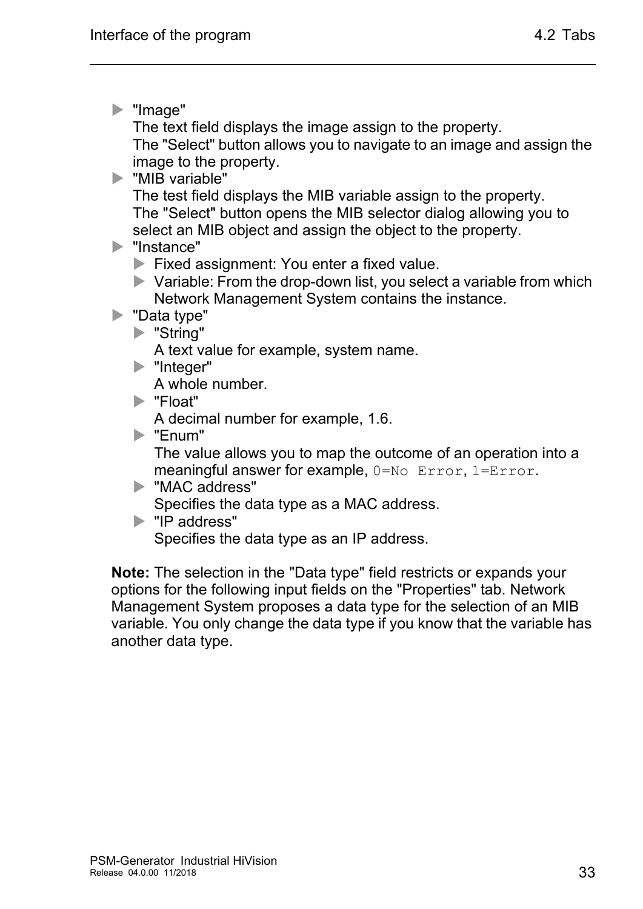"Image"

The text field displays the image assign to the property.

The "Select" button allows you to navigate to an image and assign the image to the property.

**MIB** variable"

The test field displays the MIB variable assign to the property. The "Select" button opens the MIB selector dialog allowing you to select an MIB object and assign the object to the property.

**Instance"** 

**Fixed assignment: You enter a fixed value.** 

 $\blacktriangleright$  Variable: From the drop-down list, you select a variable from which Network Management System contains the instance.

▶ "Data type"

"String"

A text value for example, system name.

lacksquarer"

A whole number.

"Float"

A decimal number for example, 1.6.

"Enum"

The value allows you to map the outcome of an operation into a meaningful answer for example, 0=No Error, 1=Error.

- **MAC** address" Specifies the data type as a MAC address.
- "IP address" Specifies the data type as an IP address.

**Note:** The selection in the "Data type" field restricts or expands your options for the following input fields on the "Properties" tab. Network Management System proposes a data type for the selection of an MIB variable. You only change the data type if you know that the variable has another data type.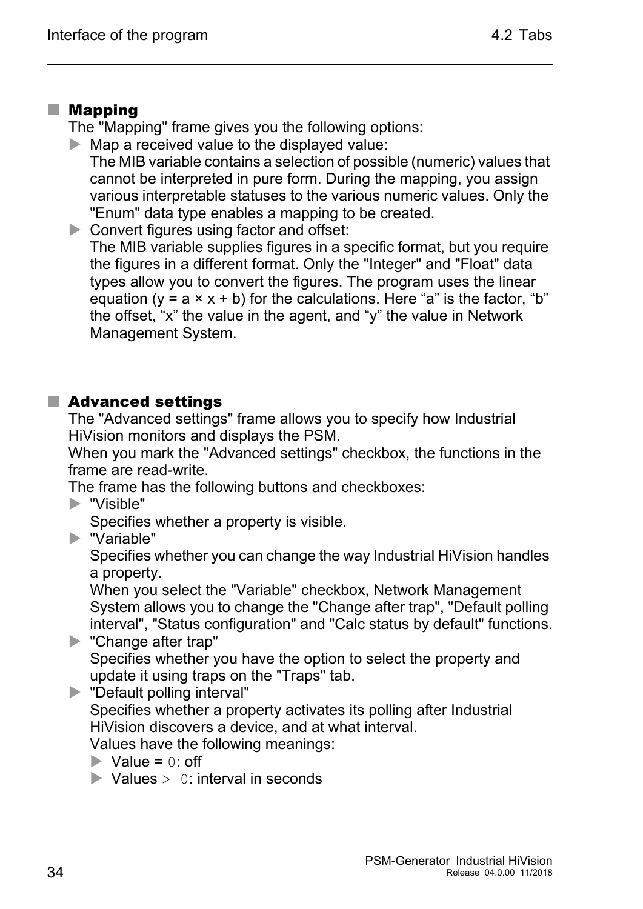#### ■ Mapping

The "Mapping" frame gives you the following options:

 $\blacktriangleright$  Map a received value to the displayed value: The MIB variable contains a selection of possible (numeric) values that cannot be interpreted in pure form. During the mapping, you assign various interpretable statuses to the various numeric values. Only the "Enum" data type enables a mapping to be created.

Convert figures using factor and offset: The MIB variable supplies figures in a specific format, but you require the figures in a different format. Only the "Integer" and "Float" data types allow you to convert the figures. The program uses the linear equation ( $y = a \times x + b$ ) for the calculations. Here "a" is the factor, "b" the offset, "x" the value in the agent, and "y" the value in Network Management System.

#### ■ Advanced settings

The "Advanced settings" frame allows you to specify how Industrial HiVision monitors and displays the PSM.

When you mark the "Advanced settings" checkbox, the functions in the frame are read-write.

The frame has the following buttons and checkboxes:

"Visible"

Specifies whether a property is visible.

"Variable"

Specifies whether you can change the way Industrial HiVision handles a property.

When you select the "Variable" checkbox, Network Management System allows you to change the "Change after trap", "Default polling interval", "Status configuration" and "Calc status by default" functions.

**No.** "Change after trap" Specifies whether you have the option to select the property and update it using traps on the "Traps" tab.

**Default polling interval"** Specifies whether a property activates its polling after Industrial HiVision discovers a device, and at what interval.

Values have the following meanings:

- $\blacktriangleright$  Value = 0: off
- $\blacktriangleright$  Values  $> 0$ : interval in seconds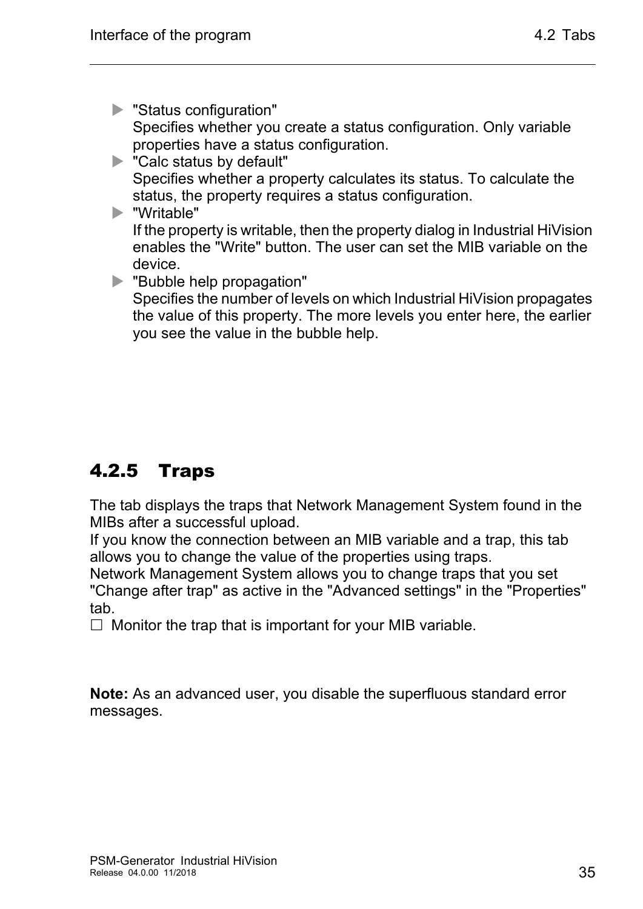- "Status configuration" Specifies whether you create a status configuration. Only variable properties have a status configuration.
- **N** "Calc status by default" Specifies whether a property calculates its status. To calculate the status, the property requires a status configuration.
- "Writable" If the property is writable, then the property dialog in Industrial HiVision enables the "Write" button. The user can set the MIB variable on the device.
- "Bubble help propagation"
	- Specifies the number of levels on which Industrial HiVision propagates the value of this property. The more levels you enter here, the earlier you see the value in the bubble help.

### <span id="page-34-0"></span>4.2.5 Traps

The tab displays the traps that Network Management System found in the MIBs after a successful upload.

If you know the connection between an MIB variable and a trap, this tab allows you to change the value of the properties using traps.

Network Management System allows you to change traps that you set "Change after trap" as active in the "Advanced settings" in the "Properties" tab.

 $\Box$  Monitor the trap that is important for your MIB variable.

**Note:** As an advanced user, you disable the superfluous standard error messages.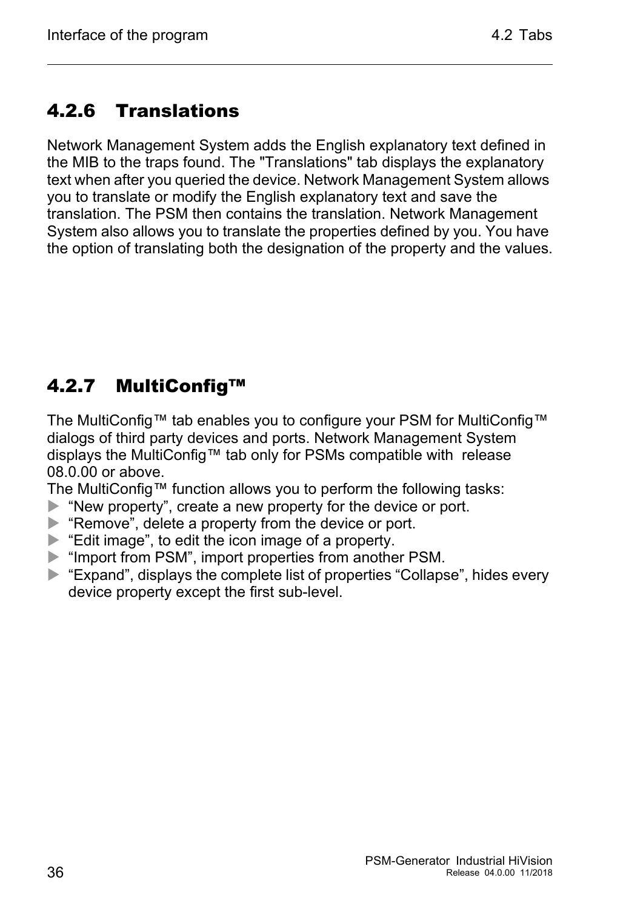### <span id="page-35-0"></span>4.2.6 Translations

Network Management System adds the English explanatory text defined in the MIB to the traps found. The "Translations" tab displays the explanatory text when after you queried the device. Network Management System allows you to translate or modify the English explanatory text and save the translation. The PSM then contains the translation. Network Management System also allows you to translate the properties defined by you. You have the option of translating both the designation of the property and the values.

### <span id="page-35-1"></span>4.2.7 MultiConfig™

The MultiConfig™ tab enables you to configure your PSM for MultiConfig™ dialogs of third party devices and ports. Network Management System displays the MultiConfig™ tab only for PSMs compatible with release 08.0.00 or above.

The MultiConfig™ function allows you to perform the following tasks:

- ▶ "New property", create a new property for the device or port.
- **EX** "Remove", delete a property from the device or port.
- ▶ "Edit image", to edit the icon image of a property.
- **IF** "Import from PSM", import properties from another PSM.
- ▶ "Expand", displays the complete list of properties "Collapse", hides every device property except the first sub-level.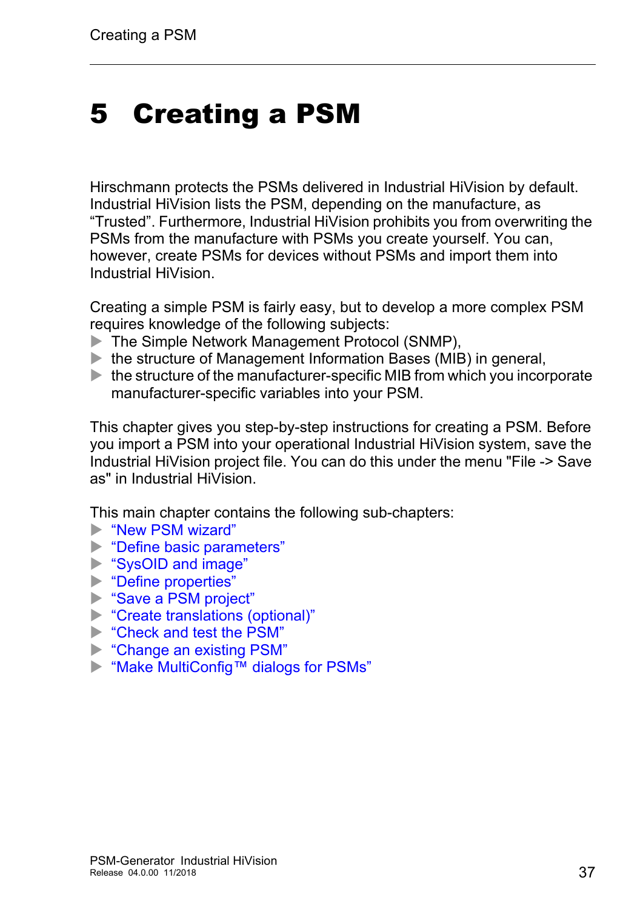## <span id="page-36-0"></span>5 Creating a PSM

Hirschmann protects the PSMs delivered in Industrial HiVision by default. Industrial HiVision lists the PSM, depending on the manufacture, as "Trusted". Furthermore, Industrial HiVision prohibits you from overwriting the PSMs from the manufacture with PSMs you create yourself. You can, however, create PSMs for devices without PSMs and import them into Industrial HiVision.

Creating a simple PSM is fairly easy, but to develop a more complex PSM requires knowledge of the following subjects:

- The Simple Network Management Protocol (SNMP),
- $\blacktriangleright$  the structure of Management Information Bases (MIB) in general,
- $\blacktriangleright$  the structure of the manufacturer-specific MIB from which you incorporate manufacturer-specific variables into your PSM.

This chapter gives you step-by-step instructions for creating a PSM. Before you import a PSM into your operational Industrial HiVision system, save the Industrial HiVision project file. You can do this under the menu "File -> Save as" in Industrial HiVision.

This main chapter contains the following sub-chapters:

- ["New PSM wizard"](#page-37-0)
- **Define basic parameters**"
- ["SysOID and image"](#page-43-0)
- **Example 1** ["Define properties"](#page-46-0)
- Save a PSM project"
- **Example 12** ["Create translations \(optional\)"](#page-55-0)
- ["Check and test the PSM"](#page-56-0)
- **EXAMPLE 20 FORM** Change an existing PSM"
- ["Make MultiConfig™ dialogs for PSMs"](#page-61-0)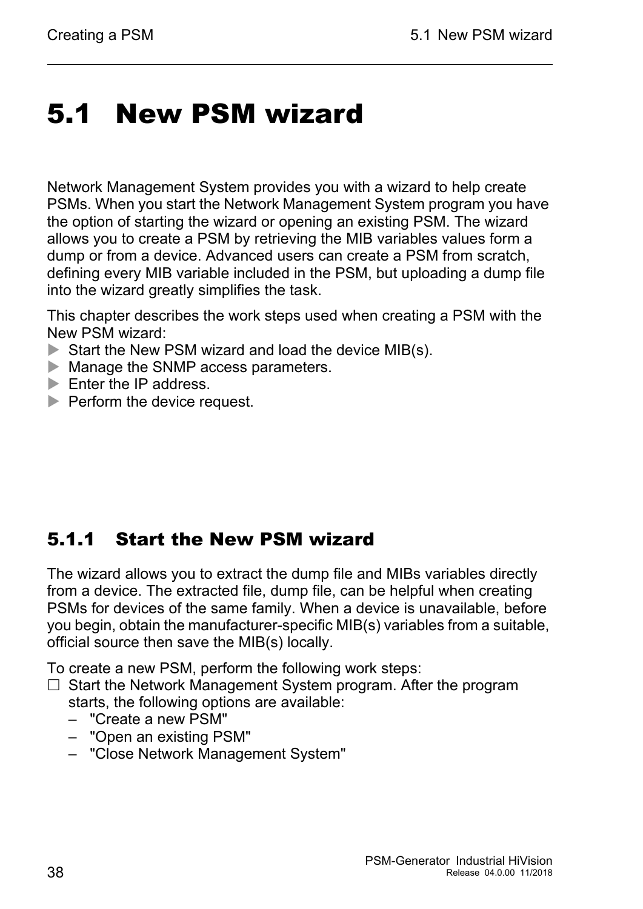## <span id="page-37-0"></span>5.1 New PSM wizard

Network Management System provides you with a wizard to help create PSMs. When you start the Network Management System program you have the option of starting the wizard or opening an existing PSM. The wizard allows you to create a PSM by retrieving the MIB variables values form a dump or from a device. Advanced users can create a PSM from scratch, defining every MIB variable included in the PSM, but uploading a dump file into the wizard greatly simplifies the task.

This chapter describes the work steps used when creating a PSM with the New PSM wizard:

- Start the New PSM wizard and load the device MIB(s).
- **Manage the SNMP access parameters.**
- $\blacktriangleright$  Enter the IP address.
- $\blacktriangleright$  Perform the device request.

#### <span id="page-37-1"></span>5.1.1 Start the New PSM wizard

The wizard allows you to extract the dump file and MIBs variables directly from a device. The extracted file, dump file, can be helpful when creating PSMs for devices of the same family. When a device is unavailable, before you begin, obtain the manufacturer-specific MIB(s) variables from a suitable, official source then save the MIB(s) locally.

To create a new PSM, perform the following work steps:

- $\Box$  Start the Network Management System program. After the program starts, the following options are available:
	- "Create a new PSM"
	- "Open an existing PSM"
	- "Close Network Management System"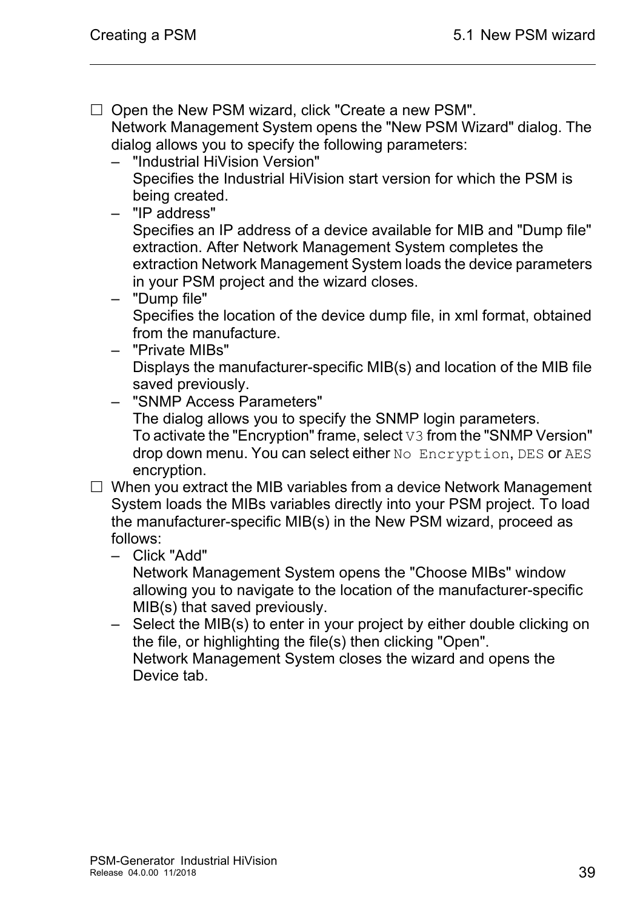$\Box$  Open the New PSM wizard, click "Create a new PSM". Network Management System opens the "New PSM Wizard" dialog. The dialog allows you to specify the following parameters:

- "Industrial HiVision Version" Specifies the Industrial HiVision start version for which the PSM is being created.
- "IP address" Specifies an IP address of a device available for MIB and "Dump file" extraction. After Network Management System completes the extraction Network Management System loads the device parameters in your PSM project and the wizard closes.
- "Dump file" Specifies the location of the device dump file, in xml format, obtained from the manufacture.
- "Private MIBs" Displays the manufacturer-specific MIB(s) and location of the MIB file saved previously.
- "SNMP Access Parameters" The dialog allows you to specify the SNMP login parameters. To activate the "Encryption" frame, select V3 from the "SNMP Version" drop down menu. You can select either No Encryption, DES or AES encryption.
- $\Box$  When you extract the MIB variables from a device Network Management System loads the MIBs variables directly into your PSM project. To load the manufacturer-specific MIB(s) in the New PSM wizard, proceed as follows:
	- Click "Add"

Network Management System opens the "Choose MIBs" window allowing you to navigate to the location of the manufacturer-specific MIB(s) that saved previously.

– Select the MIB(s) to enter in your project by either double clicking on the file, or highlighting the file(s) then clicking "Open". Network Management System closes the wizard and opens the Device tab.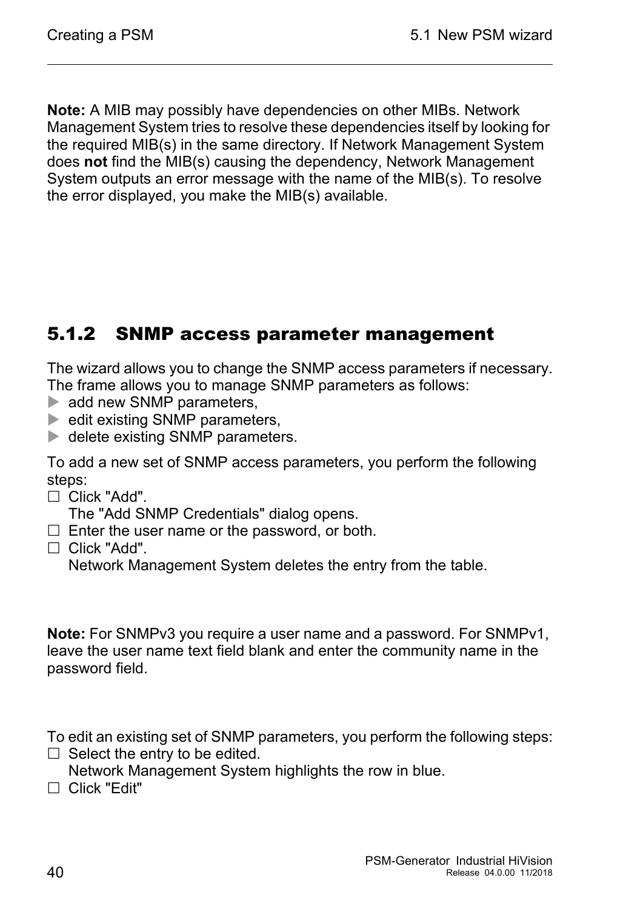**Note:** A MIB may possibly have dependencies on other MIBs. Network Management System tries to resolve these dependencies itself by looking for the required MIB(s) in the same directory. If Network Management System does **not** find the MIB(s) causing the dependency, Network Management System outputs an error message with the name of the MIB(s). To resolve the error displayed, you make the MIB(s) available.

### <span id="page-39-0"></span>5.1.2 SNMP access parameter management

The wizard allows you to change the SNMP access parameters if necessary. The frame allows you to manage SNMP parameters as follows:

- add new SNMP parameters,
- $\blacktriangleright$  edit existing SNMP parameters,
- delete existing SNMP parameters.

To add a new set of SNMP access parameters, you perform the following steps:

□ Click "Add".

The "Add SNMP Credentials" dialog opens.

- $\Box$  Enter the user name or the password, or both.
- $\Box$  Click "Add".

Network Management System deletes the entry from the table.

**Note:** For SNMPv3 you require a user name and a password. For SNMPv1, leave the user name text field blank and enter the community name in the password field.

To edit an existing set of SNMP parameters, you perform the following steps:  $\Box$  Select the entry to be edited.

- Network Management System highlights the row in blue.
- Click "Edit"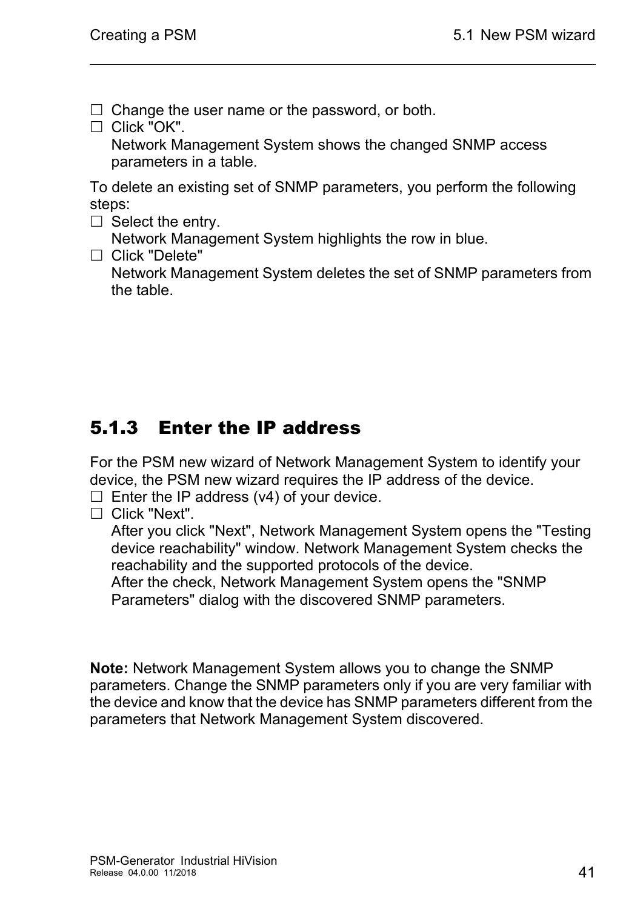$\Box$  Change the user name or the password, or both.

□ Click "OK".

Network Management System shows the changed SNMP access parameters in a table.

To delete an existing set of SNMP parameters, you perform the following steps:

 $\Box$  Select the entry.

Network Management System highlights the row in blue.

□ Click "Delete"

Network Management System deletes the set of SNMP parameters from the table.

### <span id="page-40-0"></span>5.1.3 Enter the IP address

For the PSM new wizard of Network Management System to identify your device, the PSM new wizard requires the IP address of the device.

 $\Box$  Enter the IP address (v4) of your device.

 $\Box$  Click "Next".

After you click "Next", Network Management System opens the "Testing device reachability" window. Network Management System checks the reachability and the supported protocols of the device.

After the check, Network Management System opens the "SNMP Parameters" dialog with the discovered SNMP parameters.

**Note:** Network Management System allows you to change the SNMP parameters. Change the SNMP parameters only if you are very familiar with the device and know that the device has SNMP parameters different from the parameters that Network Management System discovered.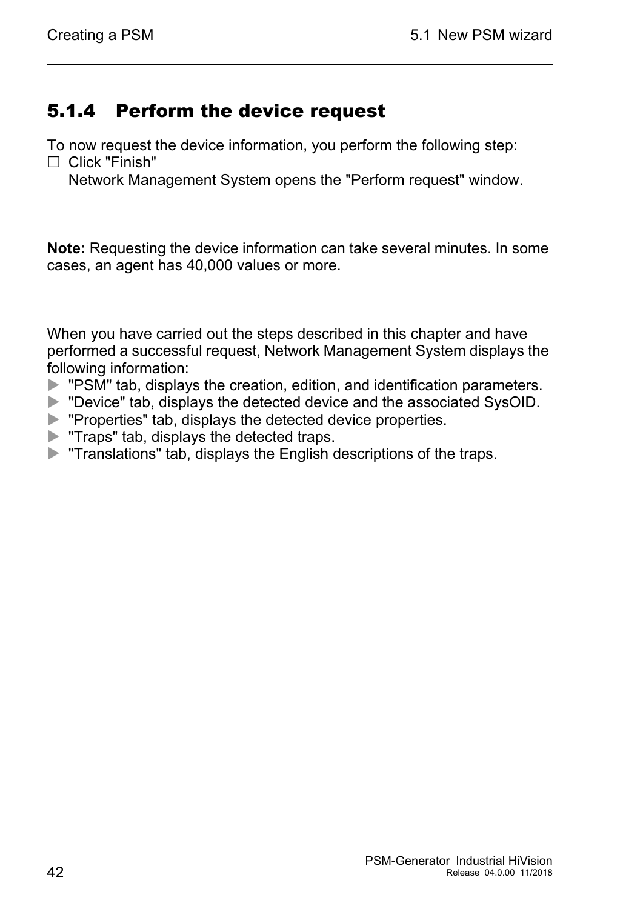#### <span id="page-41-0"></span>5.1.4 Perform the device request

To now request the device information, you perform the following step:

 $\Box$  Click "Finish"

Network Management System opens the "Perform request" window.

**Note:** Requesting the device information can take several minutes. In some cases, an agent has 40,000 values or more.

When you have carried out the steps described in this chapter and have performed a successful request, Network Management System displays the following information:

- **EXM** \* TPSM" tab, displays the creation, edition, and identification parameters.
- **Device" tab, displays the detected device and the associated SysOID.**
- **Peroperties**" tab, displays the detected device properties.
- **Traps" tab, displays the detected traps.**
- **Translations" tab, displays the English descriptions of the traps.**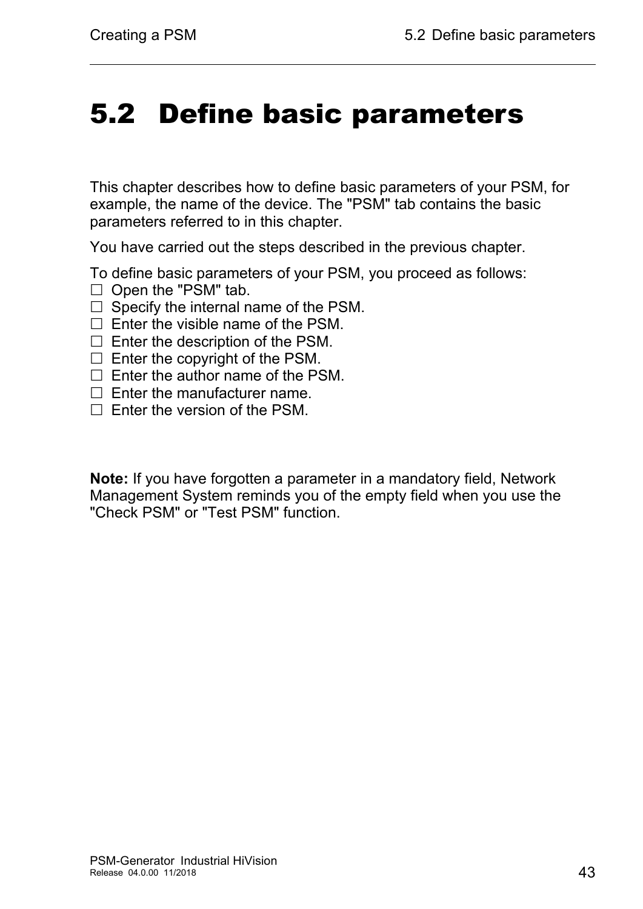## <span id="page-42-0"></span>5.2 Define basic parameters

This chapter describes how to define basic parameters of your PSM, for example, the name of the device. The "PSM" tab contains the basic parameters referred to in this chapter.

You have carried out the steps described in the previous chapter.

To define basic parameters of your PSM, you proceed as follows:

- $\Box$  Open the "PSM" tab.
- $\Box$  Specify the internal name of the PSM.
- $\Box$  Enter the visible name of the PSM.
- $\Box$  Enter the description of the PSM.
- $\Box$  Enter the copyright of the PSM.
- $\Box$  Enter the author name of the PSM.
- $\Box$  Enter the manufacturer name.
- $\Box$  Enter the version of the PSM.

**Note:** If you have forgotten a parameter in a mandatory field, Network Management System reminds you of the empty field when you use the "Check PSM" or "Test PSM" function.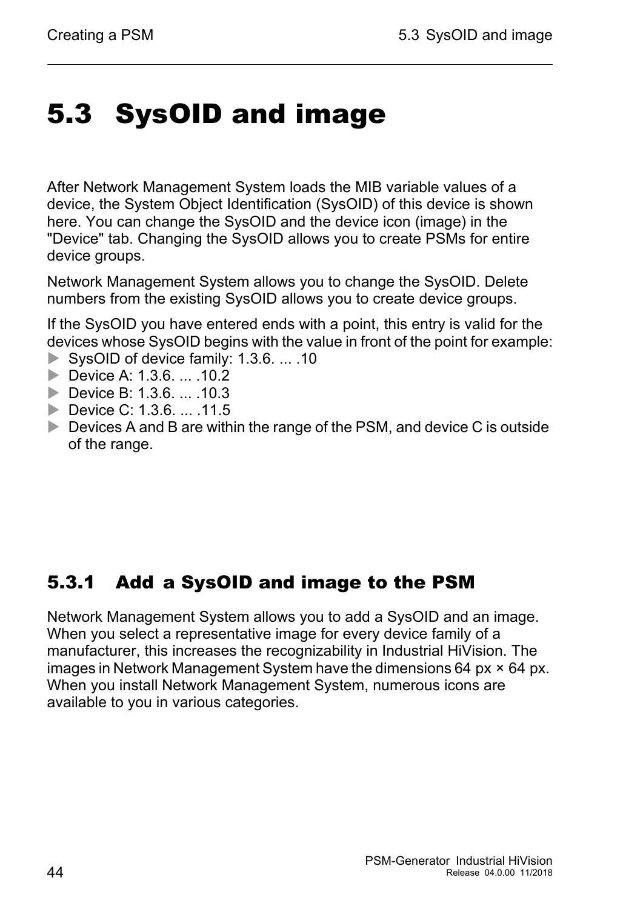## <span id="page-43-0"></span>5.3 SysOID and image

After Network Management System loads the MIB variable values of a device, the System Object Identification (SysOID) of this device is shown here. You can change the SysOID and the device icon (image) in the "Device" tab. Changing the SysOID allows you to create PSMs for entire device groups.

Network Management System allows you to change the SysOID. Delete numbers from the existing SysOID allows you to create device groups.

If the SysOID you have entered ends with a point, this entry is valid for the devices whose SysOID begins with the value in front of the point for example:

- SysOID of device family: 1.3.6. ... .10
- Device A: 1.3.6. ... .10.2
- ▶ Device B: 1.3.6. ... .10.3
- Device C: 1.3.6. ... .11.5
- Devices A and B are within the range of the PSM, and device C is outside of the range.

#### <span id="page-43-1"></span>5.3.1 Add a SysOID and image to the PSM

Network Management System allows you to add a SysOID and an image. When you select a representative image for every device family of a manufacturer, this increases the recognizability in Industrial HiVision. The images in Network Management System have the dimensions 64 px  $\times$  64 px. When you install Network Management System, numerous icons are available to you in various categories.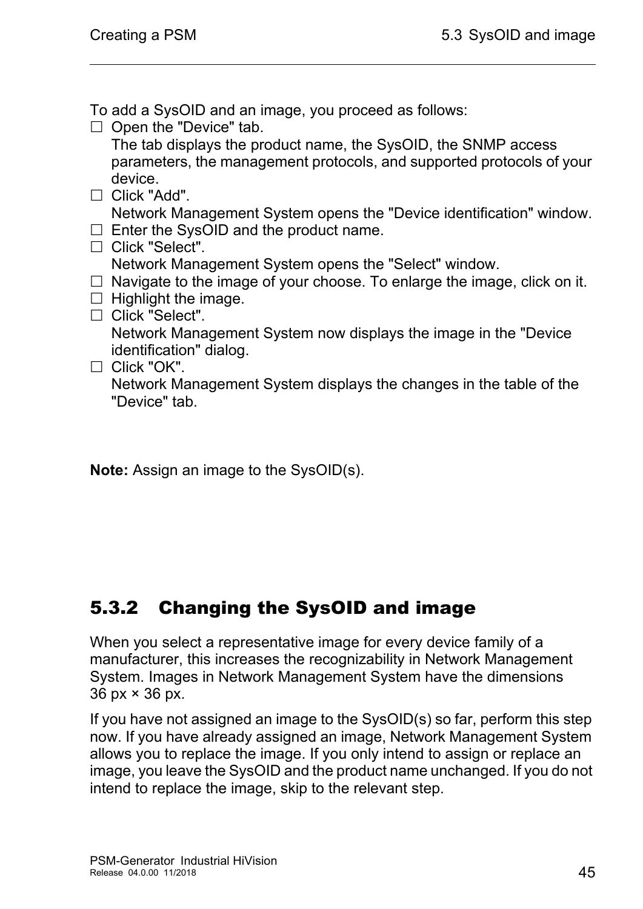To add a SysOID and an image, you proceed as follows:

 $\Box$  Open the "Device" tab.

The tab displays the product name, the SysOID, the SNMP access parameters, the management protocols, and supported protocols of your device.

- □ Click "Add". Network Management System opens the "Device identification" window.
- $\Box$  Enter the SysOID and the product name.
- □ Click "Select".
- Network Management System opens the "Select" window.
- $\Box$  Navigate to the image of your choose. To enlarge the image, click on it.
- $\Box$  Highlight the image.
- □ Click "Select".

Network Management System now displays the image in the "Device identification" dialog.

 $\Box$  Click "OK".

Network Management System displays the changes in the table of the "Device" tab.

**Note:** Assign an image to the SysOID(s).

### <span id="page-44-0"></span>5.3.2 Changing the SysOID and image

When you select a representative image for every device family of a manufacturer, this increases the recognizability in Network Management System. Images in Network Management System have the dimensions 36 px × 36 px.

If you have not assigned an image to the SysOID(s) so far, perform this step now. If you have already assigned an image, Network Management System allows you to replace the image. If you only intend to assign or replace an image, you leave the SysOID and the product name unchanged. If you do not intend to replace the image, skip to the relevant step.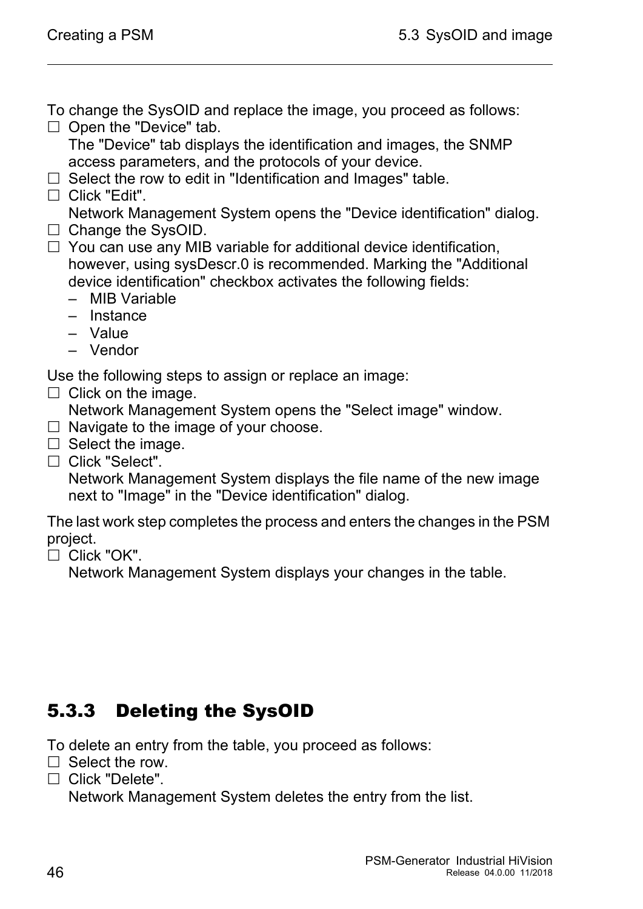To change the SysOID and replace the image, you proceed as follows:

 $\Box$  Open the "Device" tab.

The "Device" tab displays the identification and images, the SNMP access parameters, and the protocols of your device.

- $\Box$  Select the row to edit in "Identification and Images" table.
- □ Click "Edit".

Network Management System opens the "Device identification" dialog.

- $\Box$  Change the SysOID.
- $\Box$  You can use any MIB variable for additional device identification, however, using sysDescr.0 is recommended. Marking the "Additional device identification" checkbox activates the following fields:
	- MIB Variable
	- Instance
	- Value
	- Vendor

Use the following steps to assign or replace an image:

 $\Box$  Click on the image.

Network Management System opens the "Select image" window.

- $\Box$  Navigate to the image of your choose.
- $\Box$  Select the image.
- $\Box$  Click "Select".

Network Management System displays the file name of the new image next to "Image" in the "Device identification" dialog.

The last work step completes the process and enters the changes in the PSM project.

 $\Box$  Click "OK".

Network Management System displays your changes in the table.

### <span id="page-45-0"></span>5.3.3 Deleting the SysOID

To delete an entry from the table, you proceed as follows:

- $\Box$  Select the row.
- $\Box$  Click "Delete".

Network Management System deletes the entry from the list.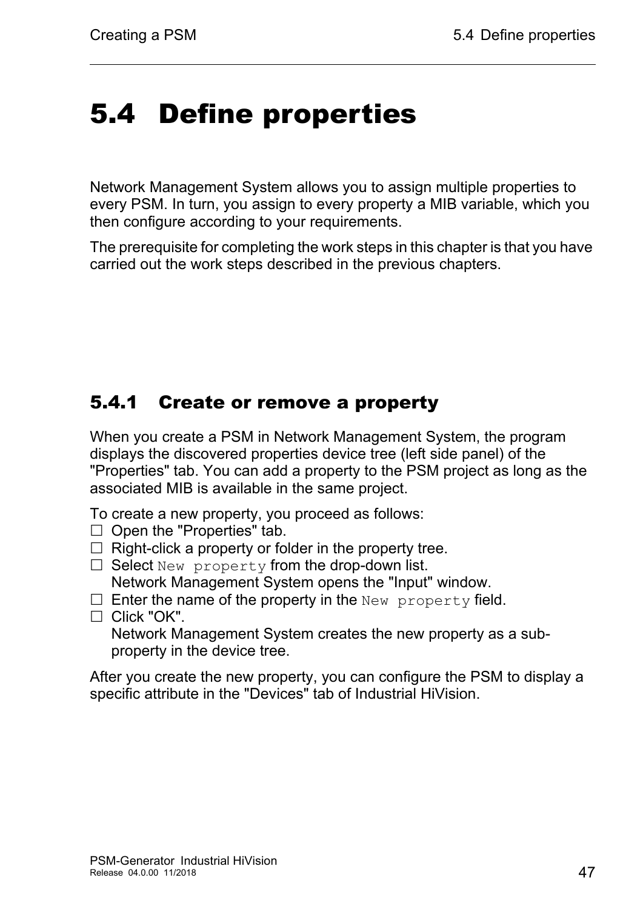## <span id="page-46-0"></span>5.4 Define properties

<span id="page-46-2"></span>Network Management System allows you to assign multiple properties to every PSM. In turn, you assign to every property a MIB variable, which you then configure according to your requirements.

The prerequisite for completing the work steps in this chapter is that you have carried out the work steps described in the previous chapters.

### <span id="page-46-1"></span>5.4.1 Create or remove a property

When you create a PSM in Network Management System, the program displays the discovered properties device tree (left side panel) of the "Properties" tab. You can add a property to the PSM project as long as the associated MIB is available in the same project.

To create a new property, you proceed as follows:

- $\Box$  Open the "Properties" tab.
- $\Box$  Right-click a property or folder in the property tree.
- $\Box$  Select New property from the drop-down list.
- Network Management System opens the "Input" window.
- $\Box$  Enter the name of the property in the New property field.
- $\Box$  Click "OK".

Network Management System creates the new property as a subproperty in the device tree.

After you create the new property, you can configure the PSM to display a specific attribute in the "Devices" tab of Industrial HiVision.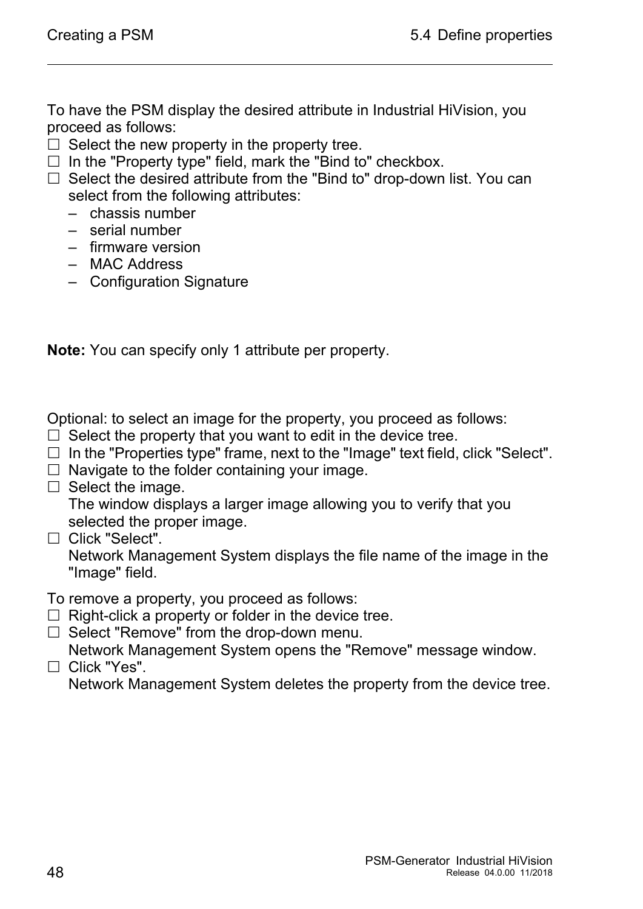To have the PSM display the desired attribute in Industrial HiVision, you proceed as follows:

- $\Box$  Select the new property in the property tree.
- $\Box$  In the "Property type" field, mark the "Bind to" checkbox.
- $\Box$  Select the desired attribute from the "Bind to" drop-down list. You can select from the following attributes:
	- chassis number
	- serial number
	- firmware version
	- MAC Address
	- Configuration Signature

**Note:** You can specify only 1 attribute per property.

Optional: to select an image for the property, you proceed as follows:

- $\Box$  Select the property that you want to edit in the device tree.
- $\Box$  In the "Properties type" frame, next to the "Image" text field, click "Select".
- $\Box$  Navigate to the folder containing your image.
- $\Box$  Select the image.

The window displays a larger image allowing you to verify that you selected the proper image.

□ Click "Select".

Network Management System displays the file name of the image in the "Image" field.

To remove a property, you proceed as follows:

- $\Box$  Right-click a property or folder in the device tree.
- $\Box$  Select "Remove" from the drop-down menu. Network Management System opens the "Remove" message window.

□ Click "Yes". Network Management System deletes the property from the device tree.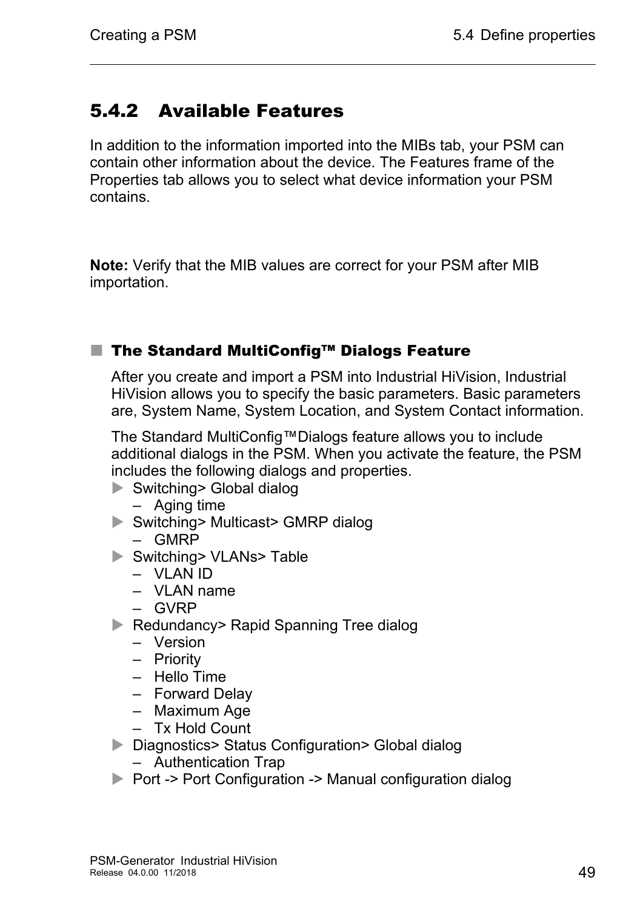### <span id="page-48-0"></span>5.4.2 Available Features

In addition to the information imported into the MIBs tab, your PSM can contain other information about the device. The Features frame of the Properties tab allows you to select what device information your PSM contains.

**Note:** Verify that the MIB values are correct for your PSM after MIB importation.

#### ■ The Standard MultiConfig<sup>™</sup> Dialogs Feature

After you create and import a PSM into Industrial HiVision, Industrial HiVision allows you to specify the basic parameters. Basic parameters are, System Name, System Location, and System Contact information.

The Standard MultiConfig™Dialogs feature allows you to include additional dialogs in the PSM. When you activate the feature, the PSM includes the following dialogs and properties.

- ▶ Switching> Global dialog
	- Aging time
- ▶ Switching> Multicast> GMRP dialog
	- GMRP
- Switching> VLANs> Table
	- VLAN ID
	- VLAN name
	- GVRP
- ▶ Redundancy> Rapid Spanning Tree dialog
	- Version
	- Priority
	- Hello Time
	- Forward Delay
	- Maximum Age
	- Tx Hold Count
- ▶ Diagnostics> Status Configuration> Global dialog
	- Authentication Trap
- ▶ Port -> Port Configuration -> Manual configuration dialog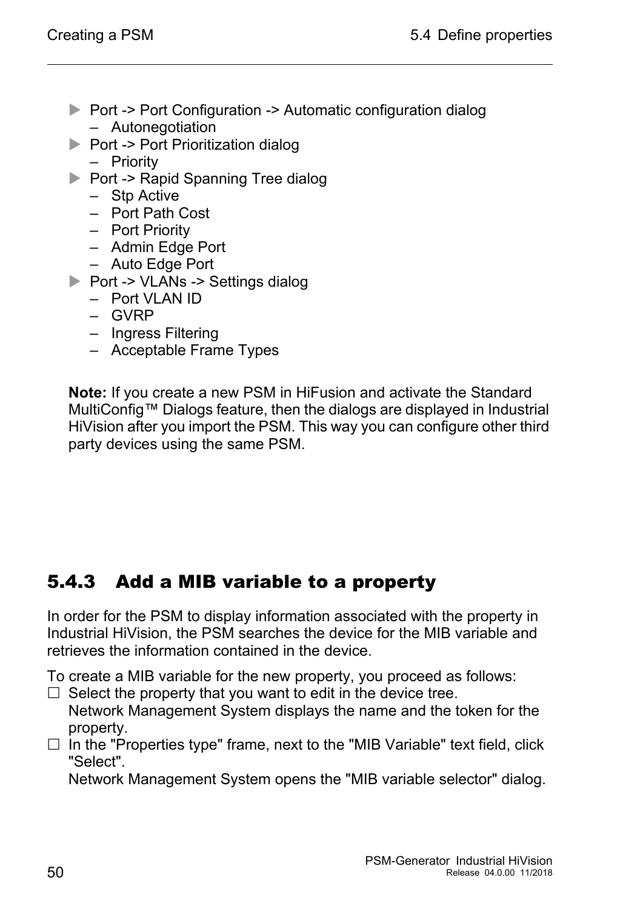- ▶ Port -> Port Configuration -> Automatic configuration dialog – Autonegotiation
- $\triangleright$  Port -> Port Prioritization dialog
	- Priority
- Port -> Rapid Spanning Tree dialog
	- Stp Active
	- Port Path Cost
	- Port Priority
	- Admin Edge Port
	- Auto Edge Port
- ▶ Port -> VLANs -> Settings dialog
	- Port VLAN ID
	- GVRP
	- Ingress Filtering
	- Acceptable Frame Types

**Note:** If you create a new PSM in HiFusion and activate the Standard MultiConfig™ Dialogs feature, then the dialogs are displayed in Industrial HiVision after you import the PSM. This way you can configure other third party devices using the same PSM.

### <span id="page-49-0"></span>5.4.3 Add a MIB variable to a property

In order for the PSM to display information associated with the property in Industrial HiVision, the PSM searches the device for the MIB variable and retrieves the information contained in the device.

To create a MIB variable for the new property, you proceed as follows:

- $\Box$  Select the property that you want to edit in the device tree. Network Management System displays the name and the token for the
- property.  $\Box$  In the "Properties type" frame, next to the "MIB Variable" text field, click "Select".

Network Management System opens the "MIB variable selector" dialog.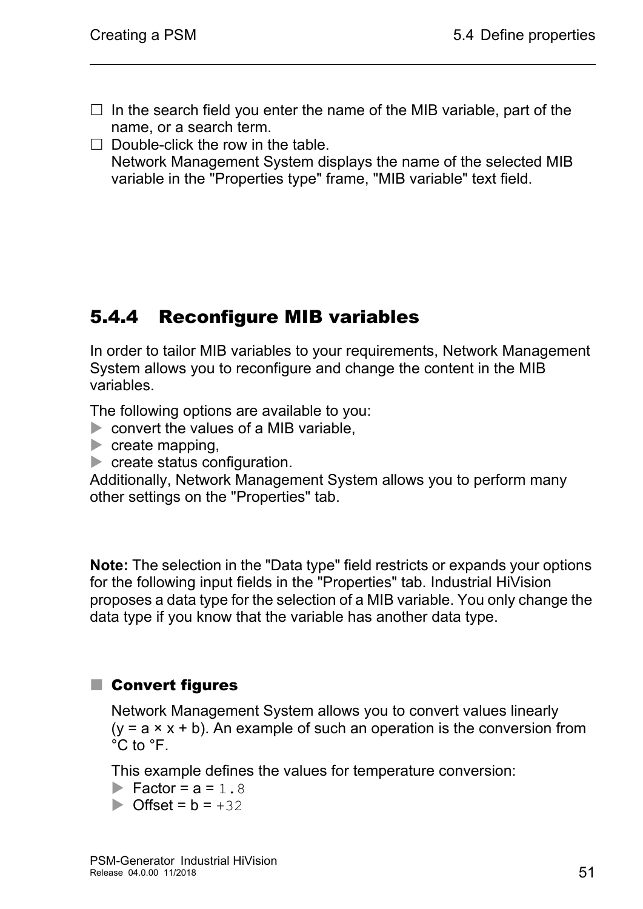- $\Box$  In the search field you enter the name of the MIB variable, part of the name, or a search term.
- $\Box$  Double-click the row in the table. Network Management System displays the name of the selected MIB variable in the "Properties type" frame, "MIB variable" text field.

#### <span id="page-50-0"></span>5.4.4 Reconfigure MIB variables

In order to tailor MIB variables to your requirements, Network Management System allows you to reconfigure and change the content in the MIB variables.

The following options are available to you:

- **Exercise 2** convert the values of a MIB variable,
- $\triangleright$  create mapping,
- create status configuration.

Additionally, Network Management System allows you to perform many other settings on the "Properties" tab.

**Note:** The selection in the "Data type" field restricts or expands your options for the following input fields in the "Properties" tab. Industrial HiVision proposes a data type for the selection of a MIB variable. You only change the data type if you know that the variable has another data type.

#### ■ Convert figures

Network Management System allows you to convert values linearly  $(y = a \times x + b)$ . An example of such an operation is the conversion from °C to °F.

This example defines the values for temperature conversion:

 $\blacktriangleright$  Factor =  $a = 1.8$ 

 $\triangleright$  Offset =  $b = +32$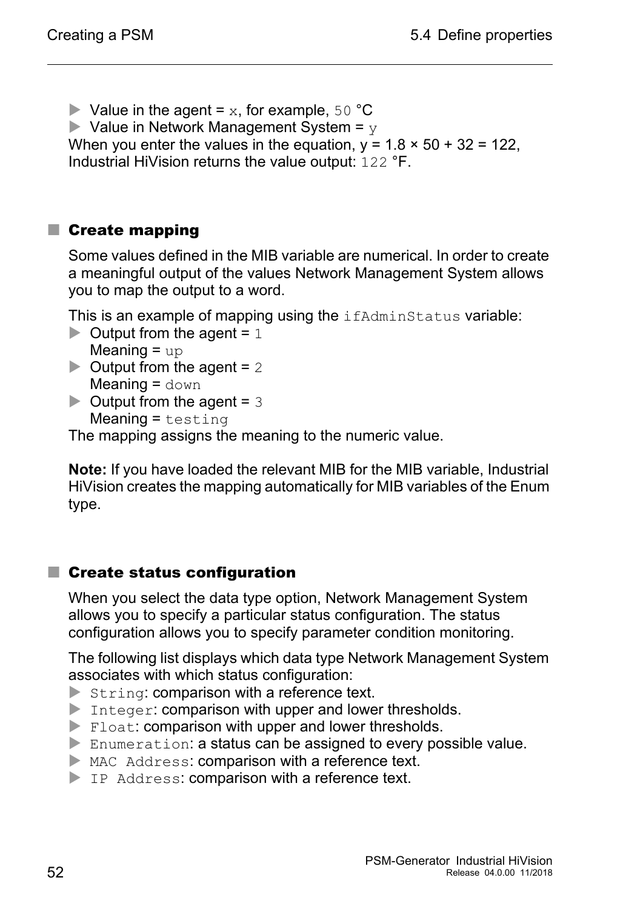$\blacktriangleright$  Value in the agent = x, for example, 50 °C

 $\blacktriangleright$  Value in Network Management System =  $\triangledown$ 

When you enter the values in the equation,  $y = 1.8 \times 50 + 32 = 122$ , Industrial HiVision returns the value output: 122 °F.

#### **Create mapping**

Some values defined in the MIB variable are numerical. In order to create a meaningful output of the values Network Management System allows you to map the output to a word.

This is an example of mapping using the *ifAdminStatus variable*:

- $\triangleright$  Output from the agent = 1 Meaning  $=$  up
- $\triangleright$  Output from the agent = 2 Meaning  $=$  down
- $\triangleright$  Output from the agent = 3  $Meaning = testing$

The mapping assigns the meaning to the numeric value.

**Note:** If you have loaded the relevant MIB for the MIB variable, Industrial HiVision creates the mapping automatically for MIB variables of the Enum type.

#### ■ Create status configuration

When you select the data type option, Network Management System allows you to specify a particular status configuration. The status configuration allows you to specify parameter condition monitoring.

The following list displays which data type Network Management System associates with which status configuration:

- $\triangleright$  String: comparison with a reference text.
- Integer: comparison with upper and lower thresholds.
- Float: comparison with upper and lower thresholds.
- Enumeration: a status can be assigned to every possible value.
- MAC Address: comparison with a reference text.
- IP Address: comparison with a reference text.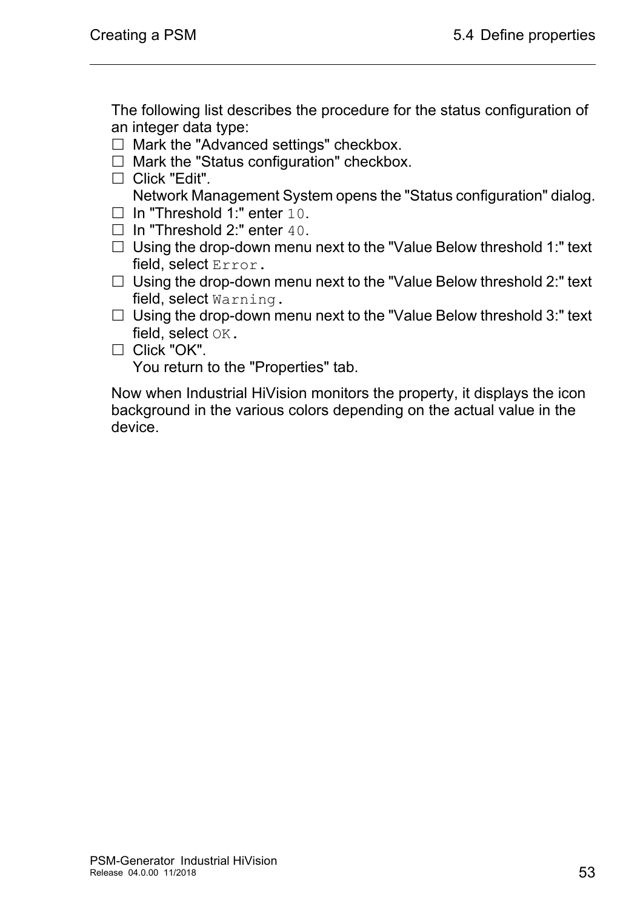The following list describes the procedure for the status configuration of an integer data type:

- $\Box$  Mark the "Advanced settings" checkbox.
- $\Box$  Mark the "Status configuration" checkbox.
- □ Click "Edit". Network Management System opens the "Status configuration" dialog.
- □ In "Threshold 1:" enter 10.
- $\Box$  In "Threshold 2:" enter 40.
- $\Box$  Using the drop-down menu next to the "Value Below threshold 1:" text field, select Error.
- $\Box$  Using the drop-down menu next to the "Value Below threshold 2:" text field, select Warning.
- $\Box$  Using the drop-down menu next to the "Value Below threshold 3:" text field, select OK.
- $\Box$  Click "OK".

You return to the "Properties" tab.

Now when Industrial HiVision monitors the property, it displays the icon background in the various colors depending on the actual value in the device.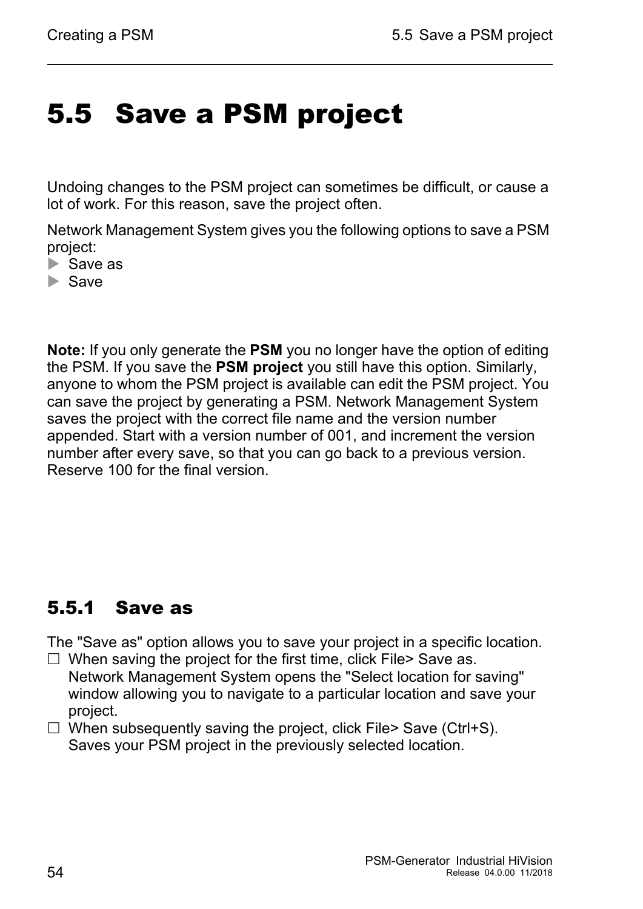### <span id="page-53-0"></span>5.5 Save a PSM project

Undoing changes to the PSM project can sometimes be difficult, or cause a lot of work. For this reason, save the project often.

Network Management System gives you the following options to save a PSM project:

- $\triangleright$  Save as
- Save

**Note:** If you only generate the **PSM** you no longer have the option of editing the PSM. If you save the **PSM project** you still have this option. Similarly, anyone to whom the PSM project is available can edit the PSM project. You can save the project by generating a PSM. Network Management System saves the project with the correct file name and the version number appended. Start with a version number of 001, and increment the version number after every save, so that you can go back to a previous version. Reserve 100 for the final version.

#### <span id="page-53-1"></span>5.5.1 Save as

The "Save as" option allows you to save your project in a specific location. □ When saving the project for the first time, click File> Save as.

- Network Management System opens the "Select location for saving" window allowing you to navigate to a particular location and save your project.
- $\Box$  When subsequently saving the project, click File> Save (Ctrl+S). Saves your PSM project in the previously selected location.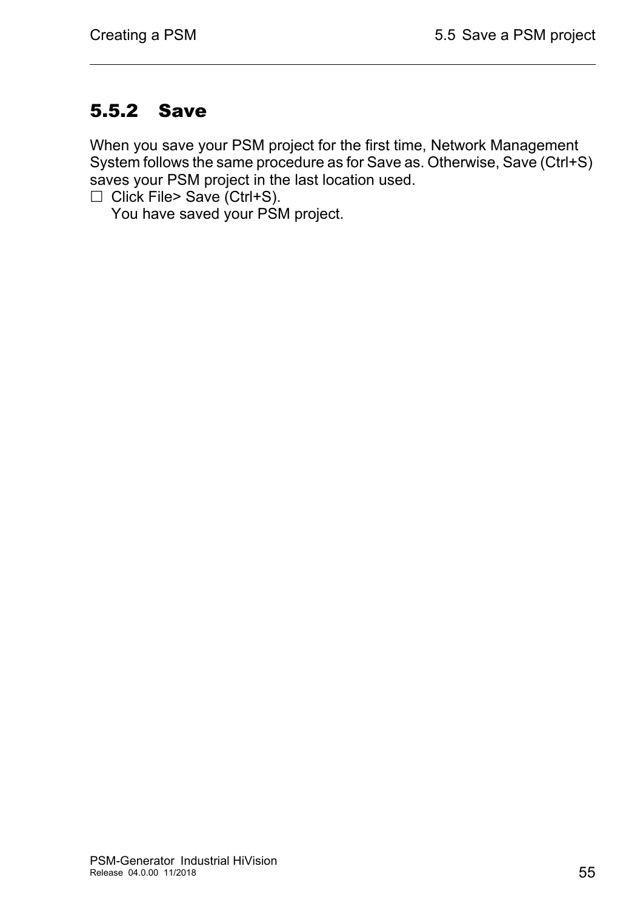### <span id="page-54-0"></span>5.5.2 Save

When you save your PSM project for the first time, Network Management System follows the same procedure as for Save as. Otherwise, Save (Ctrl+S) saves your PSM project in the last location used.

 $\Box$  Click File> Save (Ctrl+S).

You have saved your PSM project.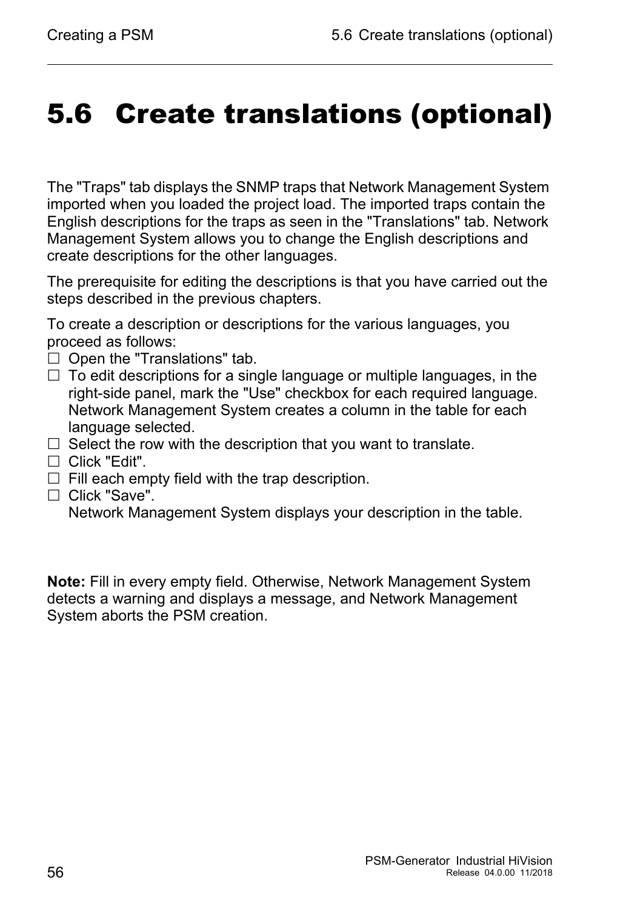## <span id="page-55-0"></span>5.6 Create translations (optional)

The "Traps" tab displays the SNMP traps that Network Management System imported when you loaded the project load. The imported traps contain the English descriptions for the traps as seen in the "Translations" tab. Network Management System allows you to change the English descriptions and create descriptions for the other languages.

The prerequisite for editing the descriptions is that you have carried out the steps described in the previous chapters.

To create a description or descriptions for the various languages, you proceed as follows:

- $\Box$  Open the "Translations" tab.
- $\Box$  To edit descriptions for a single language or multiple languages, in the right-side panel, mark the "Use" checkbox for each required language. Network Management System creates a column in the table for each language selected.
- $\Box$  Select the row with the description that you want to translate.
- □ Click "Edit".
- $\Box$  Fill each empty field with the trap description.
- □ Click "Save".

Network Management System displays your description in the table.

**Note:** Fill in every empty field. Otherwise, Network Management System detects a warning and displays a message, and Network Management System aborts the PSM creation.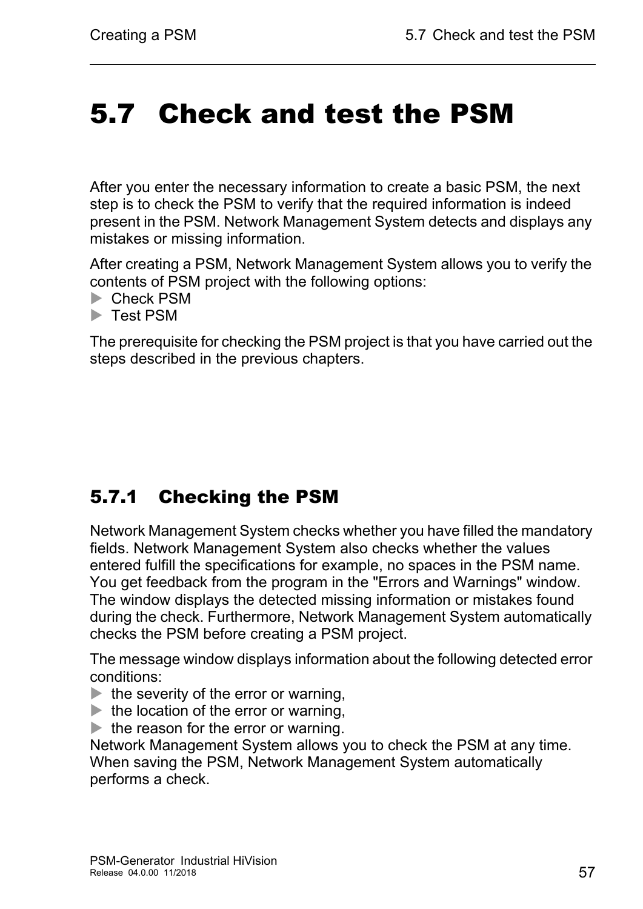## <span id="page-56-0"></span>5.7 Check and test the PSM

After you enter the necessary information to create a basic PSM, the next step is to check the PSM to verify that the required information is indeed present in the PSM. Network Management System detects and displays any mistakes or missing information.

After creating a PSM, Network Management System allows you to verify the contents of PSM project with the following options:

- ▶ Check PSM
- **Test PSM**

The prerequisite for checking the PSM project is that you have carried out the steps described in the previous chapters.

### <span id="page-56-1"></span>5.7.1 Checking the PSM

Network Management System checks whether you have filled the mandatory fields. Network Management System also checks whether the values entered fulfill the specifications for example, no spaces in the PSM name. You get feedback from the program in the "Errors and Warnings" window. The window displays the detected missing information or mistakes found during the check. Furthermore, Network Management System automatically checks the PSM before creating a PSM project.

The message window displays information about the following detected error conditions:

- $\blacktriangleright$  the severity of the error or warning,
- $\blacktriangleright$  the location of the error or warning,
- $\blacktriangleright$  the reason for the error or warning.

Network Management System allows you to check the PSM at any time. When saving the PSM, Network Management System automatically performs a check.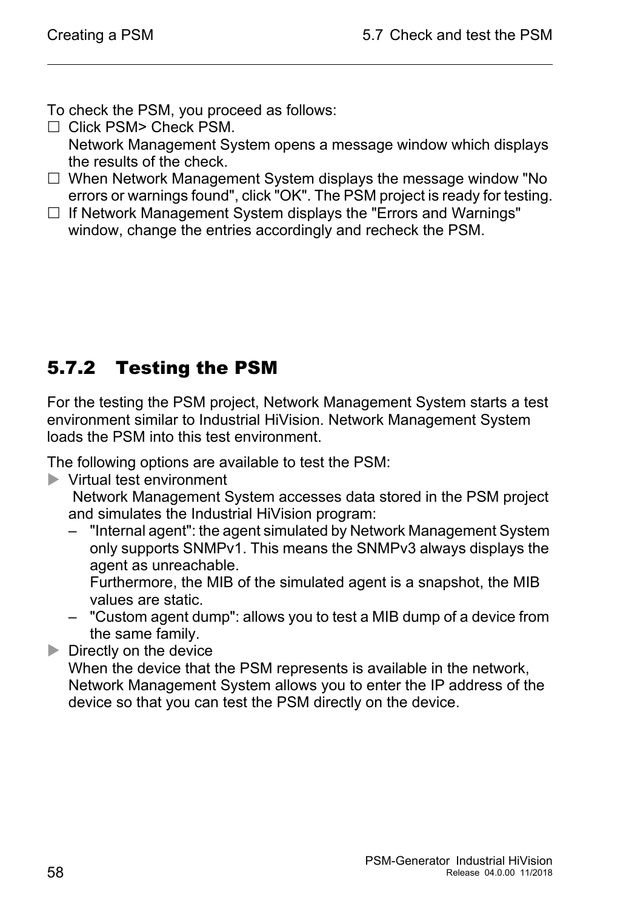To check the PSM, you proceed as follows:

- Click PSM> Check PSM. Network Management System opens a message window which displays the results of the check.
- □ When Network Management System displays the message window "No errors or warnings found", click "OK". The PSM project is ready for testing.
- $\Box$  If Network Management System displays the "Errors and Warnings" window, change the entries accordingly and recheck the PSM.

### <span id="page-57-0"></span>5.7.2 Testing the PSM

For the testing the PSM project, Network Management System starts a test environment similar to Industrial HiVision. Network Management System loads the PSM into this test environment.

The following options are available to test the PSM:

Virtual test environment

 Network Management System accesses data stored in the PSM project and simulates the Industrial HiVision program:

– "Internal agent": the agent simulated by Network Management System only supports SNMPv1. This means the SNMPv3 always displays the agent as unreachable.

Furthermore, the MIB of the simulated agent is a snapshot, the MIB values are static.

– "Custom agent dump": allows you to test a MIB dump of a device from the same family.

 $\triangleright$  Directly on the device

When the device that the PSM represents is available in the network, Network Management System allows you to enter the IP address of the device so that you can test the PSM directly on the device.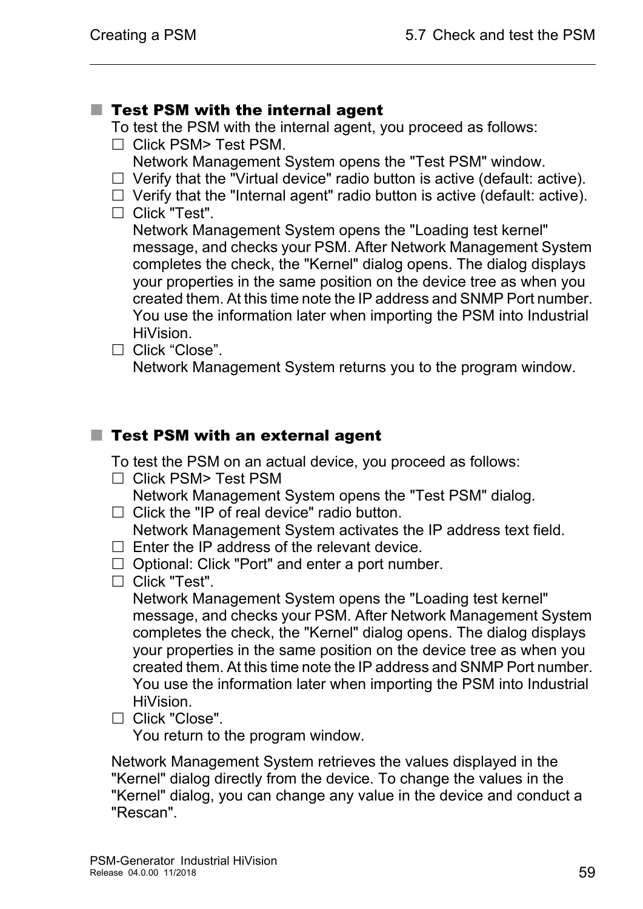#### ■ Test PSM with the internal agent

To test the PSM with the internal agent, you proceed as follows:

- $\Box$  Click PSM> Test PSM.
	- Network Management System opens the "Test PSM" window.
- $\Box$  Verify that the "Virtual device" radio button is active (default: active).
- $\Box$  Verify that the "Internal agent" radio button is active (default: active).
- □ Click "Test".

Network Management System opens the "Loading test kernel" message, and checks your PSM. After Network Management System completes the check, the "Kernel" dialog opens. The dialog displays your properties in the same position on the device tree as when you created them. At this time note the IP address and SNMP Port number. You use the information later when importing the PSM into Industrial HiVision.

Click "Close".

Network Management System returns you to the program window.

#### ■ Test PSM with an external agent

To test the PSM on an actual device, you proceed as follows:

 $\Box$  Click PSM> Test PSM

Network Management System opens the "Test PSM" dialog.

- $\Box$  Click the "IP of real device" radio button. Network Management System activates the IP address text field.
- $\Box$  Enter the IP address of the relevant device.
- $\Box$  Optional: Click "Port" and enter a port number.
- □ Click "Test".

Network Management System opens the "Loading test kernel" message, and checks your PSM. After Network Management System completes the check, the "Kernel" dialog opens. The dialog displays your properties in the same position on the device tree as when you created them. At this time note the IP address and SNMP Port number. You use the information later when importing the PSM into Industrial HiVision.

□ Click "Close".

You return to the program window.

Network Management System retrieves the values displayed in the "Kernel" dialog directly from the device. To change the values in the "Kernel" dialog, you can change any value in the device and conduct a "Rescan".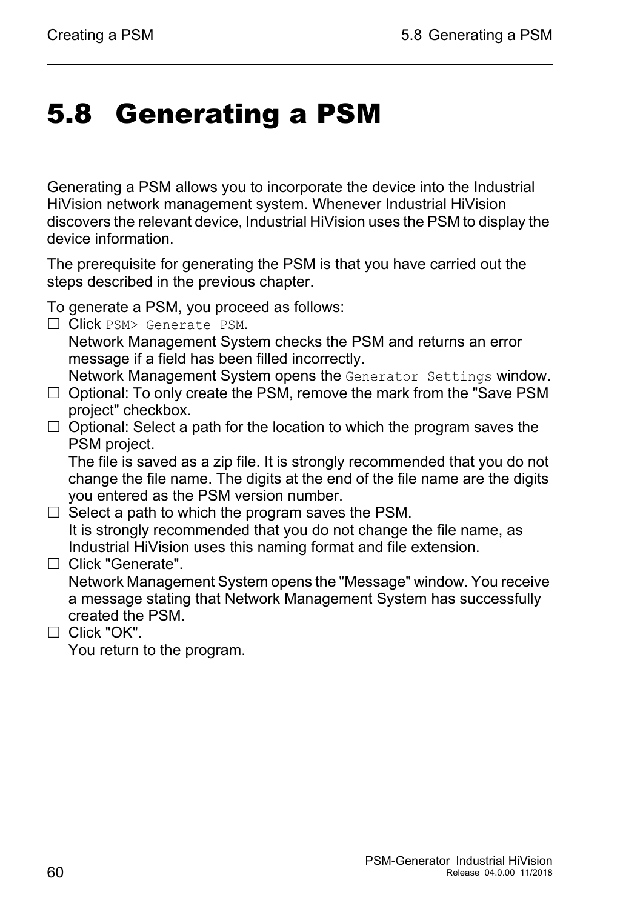## <span id="page-59-0"></span>5.8 Generating a PSM

Generating a PSM allows you to incorporate the device into the Industrial HiVision network management system. Whenever Industrial HiVision discovers the relevant device, Industrial HiVision uses the PSM to display the device information.

The prerequisite for generating the PSM is that you have carried out the steps described in the previous chapter.

To generate a PSM, you proceed as follows:

 $\Box$  Click PSM> Generate PSM.

Network Management System checks the PSM and returns an error message if a field has been filled incorrectly.

Network Management System opens the Generator Settings window.

- $\Box$  Optional: To only create the PSM, remove the mark from the "Save PSM project" checkbox.
- $\Box$  Optional: Select a path for the location to which the program saves the PSM project.

The file is saved as a zip file. It is strongly recommended that you do not change the file name. The digits at the end of the file name are the digits you entered as the PSM version number.

- $\Box$  Select a path to which the program saves the PSM. It is strongly recommended that you do not change the file name, as Industrial HiVision uses this naming format and file extension.
- $\Box$  Click "Generate".

Network Management System opens the "Message" window. You receive a message stating that Network Management System has successfully created the PSM.

 $\Box$  Click "OK".

You return to the program.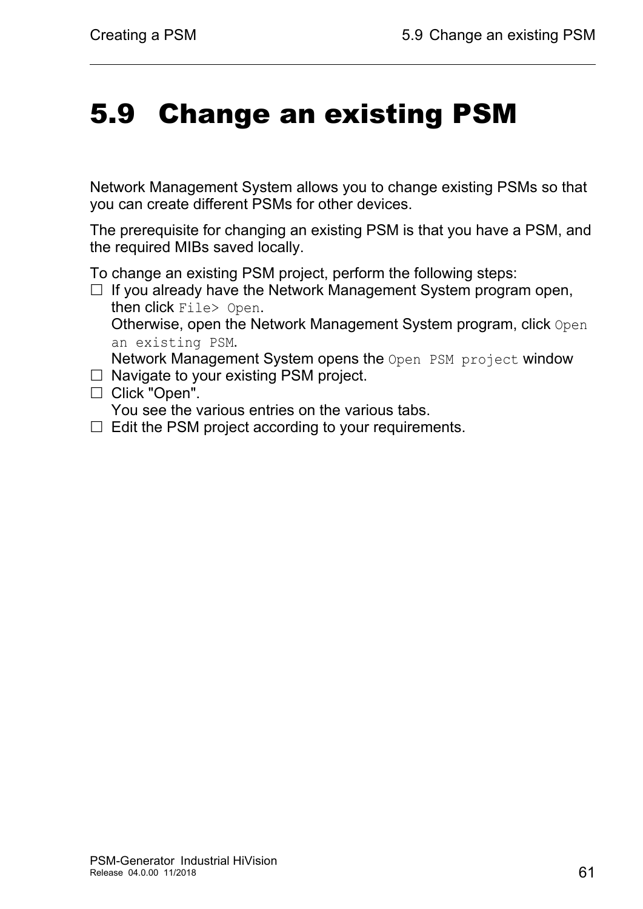## <span id="page-60-0"></span>5.9 Change an existing PSM

Network Management System allows you to change existing PSMs so that you can create different PSMs for other devices.

The prerequisite for changing an existing PSM is that you have a PSM, and the required MIBs saved locally.

To change an existing PSM project, perform the following steps:

 $\Box$  If you already have the Network Management System program open, then click File> Open.

Otherwise, open the Network Management System program, click Open an existing PSM.

Network Management System opens the Open PSM project window  $\Box$  Navigate to your existing PSM project.

□ Click "Open".

You see the various entries on the various tabs.

 $\Box$  Edit the PSM project according to your requirements.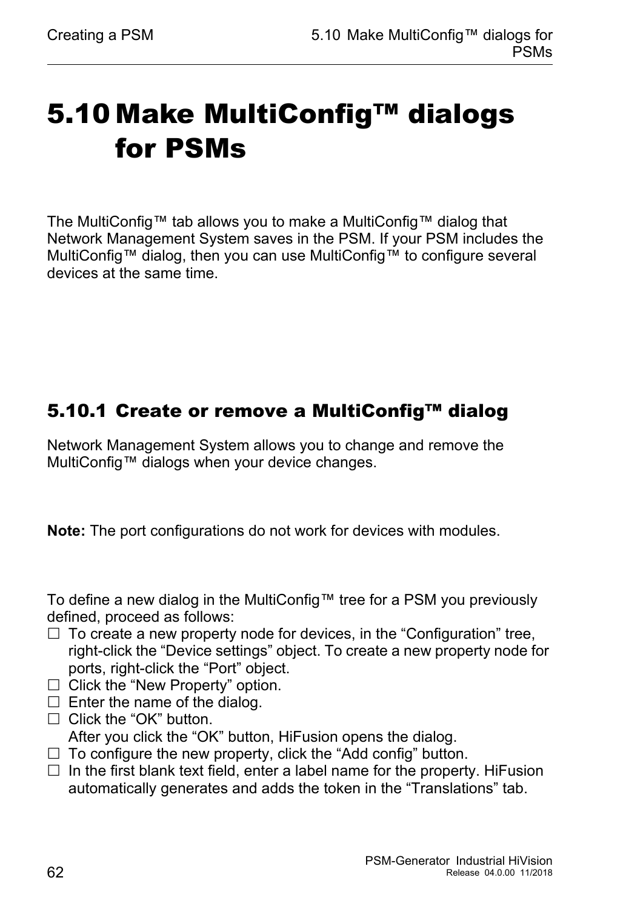## <span id="page-61-0"></span>5.10 Make MultiConfig™ dialogs for PSMs

The MultiConfig™ tab allows you to make a MultiConfig™ dialog that Network Management System saves in the PSM. If your PSM includes the MultiConfig™ dialog, then you can use MultiConfig™ to configure several devices at the same time.

### <span id="page-61-1"></span>5.10.1 Create or remove a MultiConfig™ dialog

Network Management System allows you to change and remove the MultiConfig™ dialogs when your device changes.

**Note:** The port configurations do not work for devices with modules.

To define a new dialog in the MultiConfig™ tree for a PSM you previously defined, proceed as follows:

- $\Box$  To create a new property node for devices, in the "Configuration" tree, right-click the "Device settings" object. To create a new property node for ports, right-click the "Port" object.
- $\Box$  Click the "New Property" option.
- $\Box$  Enter the name of the dialog.
- $\Box$  Click the "OK" button.

After you click the "OK" button, HiFusion opens the dialog.

- $\Box$  To configure the new property, click the "Add config" button.
- $\Box$  In the first blank text field, enter a label name for the property. HiFusion automatically generates and adds the token in the "Translations" tab.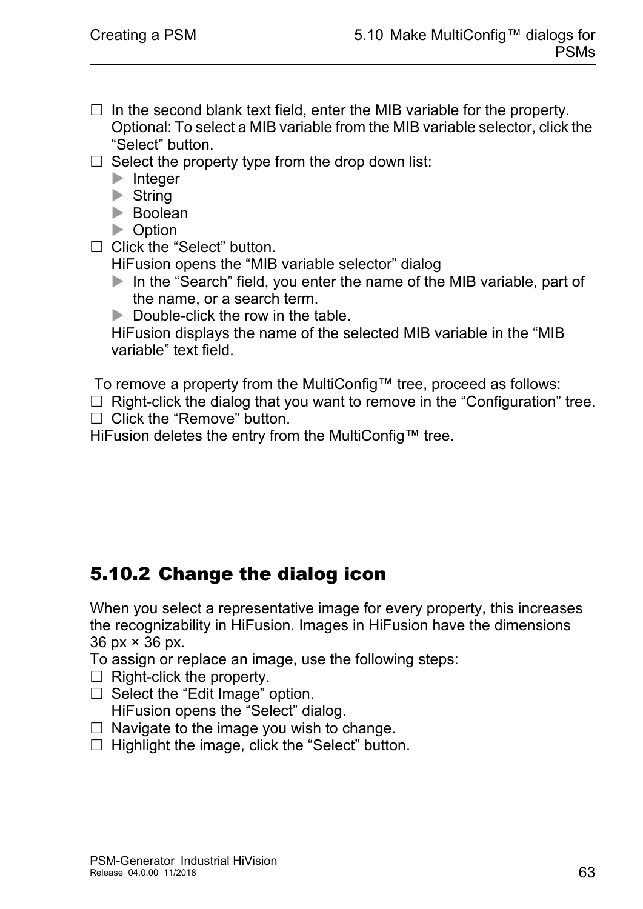- $\Box$  In the second blank text field, enter the MIB variable for the property. Optional: To select a MIB variable from the MIB variable selector, click the "Select" button.
- $\Box$  Select the property type from the drop down list:
	- **Integer**
	- $\blacktriangleright$  String
	- **Boolean**
	- **Department**
- □ Click the "Select" button.

HiFusion opens the "MIB variable selector" dialog

- In the "Search" field, you enter the name of the MIB variable, part of the name, or a search term.
- $\triangleright$  Double-click the row in the table.

HiFusion displays the name of the selected MIB variable in the "MIB variable" text field.

To remove a property from the MultiConfig™ tree, proceed as follows:

 $\Box$  Right-click the dialog that you want to remove in the "Configuration" tree.  $\Box$  Click the "Remove" button.

HiFusion deletes the entry from the MultiConfig™ tree.

#### <span id="page-62-0"></span>5.10.2 Change the dialog icon

When you select a representative image for every property, this increases the recognizability in HiFusion. Images in HiFusion have the dimensions 36 px × 36 px.

To assign or replace an image, use the following steps:

- $\Box$  Right-click the property.
- $\Box$  Select the "Edit Image" option. HiFusion opens the "Select" dialog.
- $\Box$  Navigate to the image you wish to change.
- $\Box$  Highlight the image, click the "Select" button.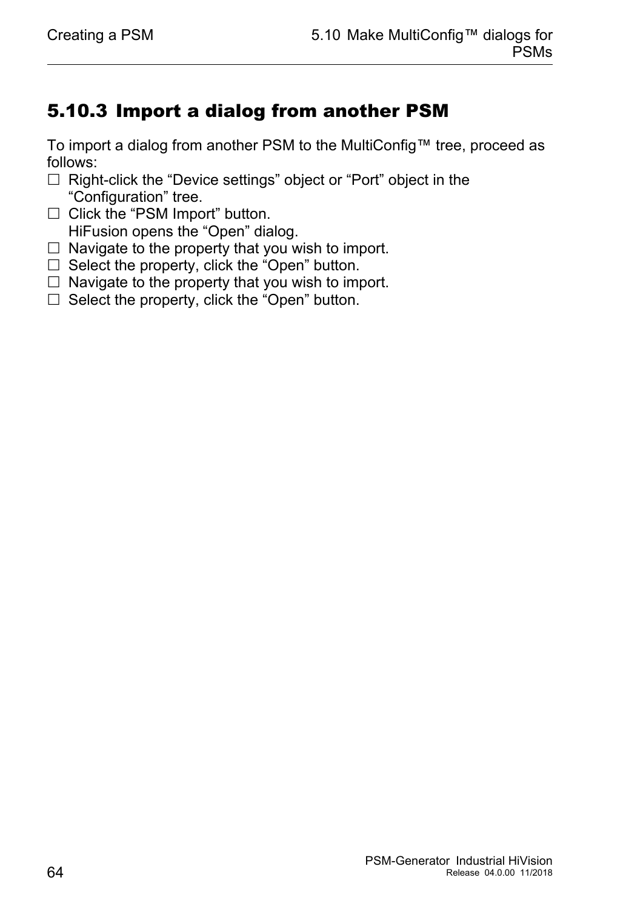### <span id="page-63-0"></span>5.10.3 Import a dialog from another PSM

To import a dialog from another PSM to the MultiConfig™ tree, proceed as follows:

- $\Box$  Right-click the "Device settings" object or "Port" object in the "Configuration" tree.
- $\Box$  Click the "PSM Import" button. HiFusion opens the "Open" dialog.
- $\Box$  Navigate to the property that you wish to import.
- $\Box$  Select the property, click the "Open" button.
- $\Box$  Navigate to the property that you wish to import.
- $\Box$  Select the property, click the "Open" button.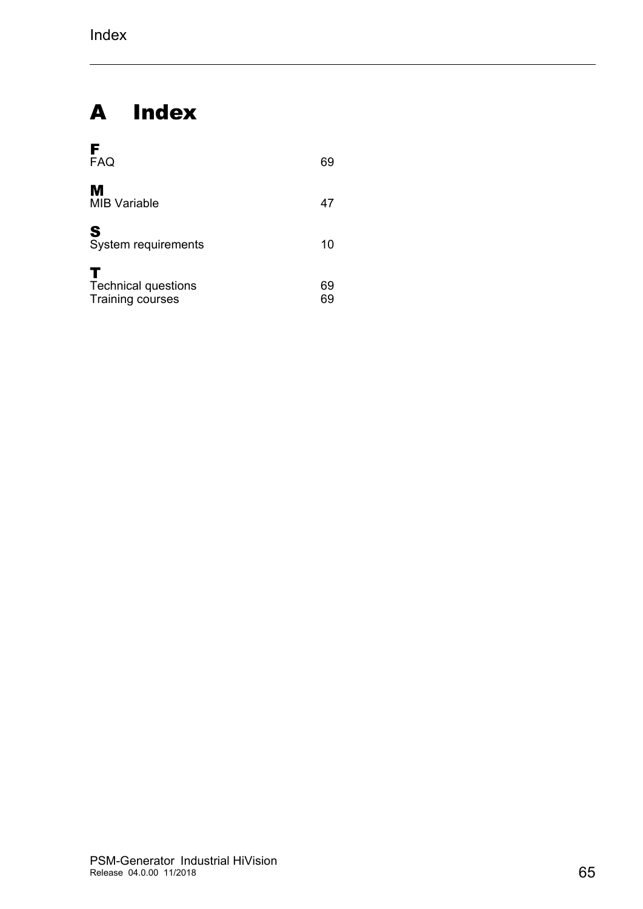### A Index

| F<br><b>FAQ</b>                                            | 69 |
|------------------------------------------------------------|----|
| М<br><b>MIB Variable</b>                                   | 47 |
| S<br>System requirements                                   | 10 |
| т<br><b>Technical questions</b><br><b>Training courses</b> | 69 |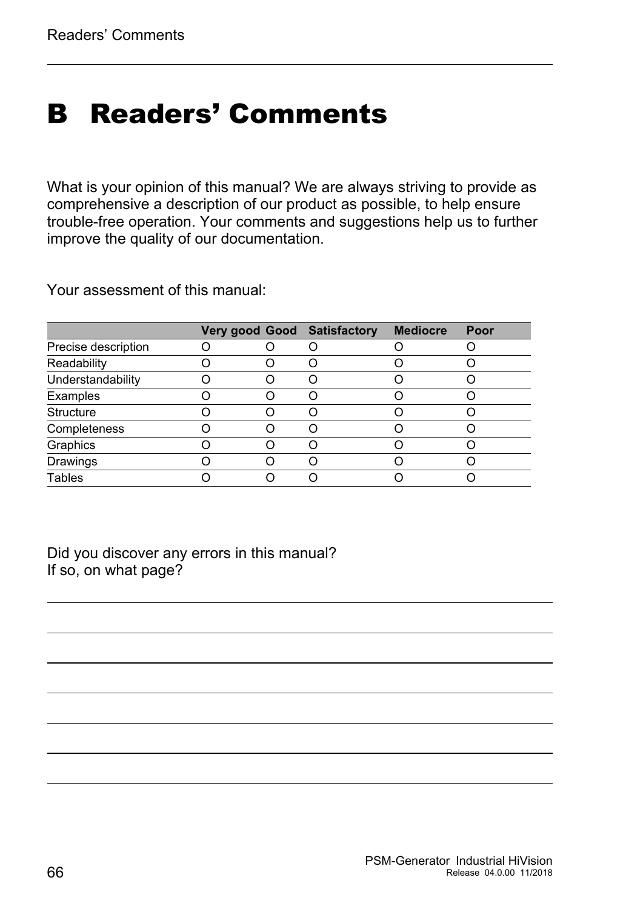## <span id="page-65-0"></span>B Readers' Comments

What is your opinion of this manual? We are always striving to provide as comprehensive a description of our product as possible, to help ensure trouble-free operation. Your comments and suggestions help us to further improve the quality of our documentation.

Your assessment of this manual:

|                     |  | <b>Very good Good Satisfactory</b> | <b>Mediocre</b> | Poor |
|---------------------|--|------------------------------------|-----------------|------|
| Precise description |  |                                    |                 |      |
| Readability         |  |                                    |                 |      |
| Understandability   |  |                                    |                 |      |
| Examples            |  |                                    |                 |      |
| <b>Structure</b>    |  |                                    |                 |      |
| Completeness        |  |                                    |                 |      |
| Graphics            |  |                                    |                 |      |
| Drawings            |  |                                    |                 |      |
| <b>Tables</b>       |  |                                    |                 |      |

Did you discover any errors in this manual? If so, on what page?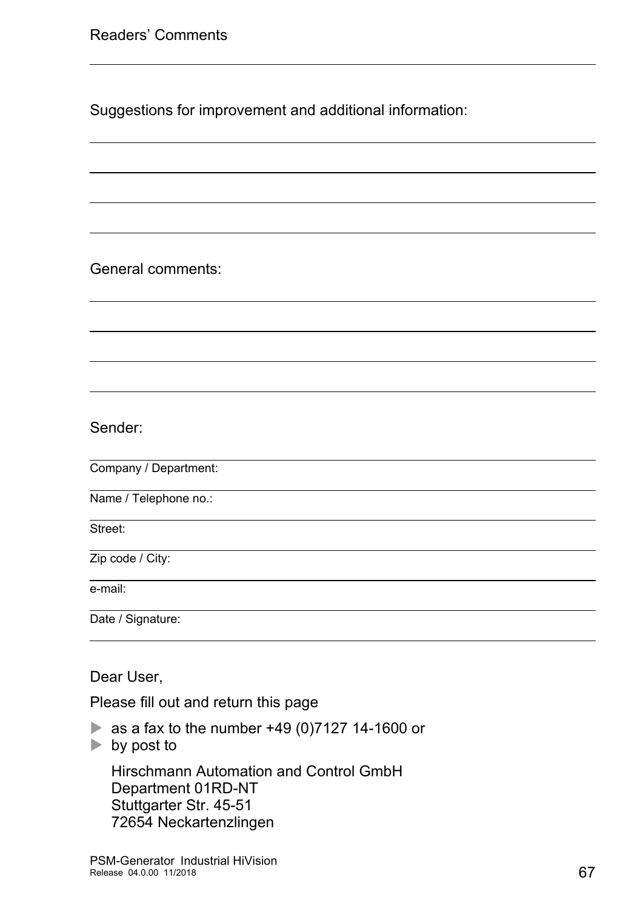Suggestions for improvement and additional information:

General comments:

Sender:

Company / Department:

Name / Telephone no.:

Street:

Zip code / City:

e-mail:

Date / Signature:

Dear User,

Please fill out and return this page

- as a fax to the number  $+49(0)7127$  14-1600 or
- $\blacktriangleright$  by post to

Hirschmann Automation and Control GmbH Department 01RD-NT Stuttgarter Str. 45-51 72654 Neckartenzlingen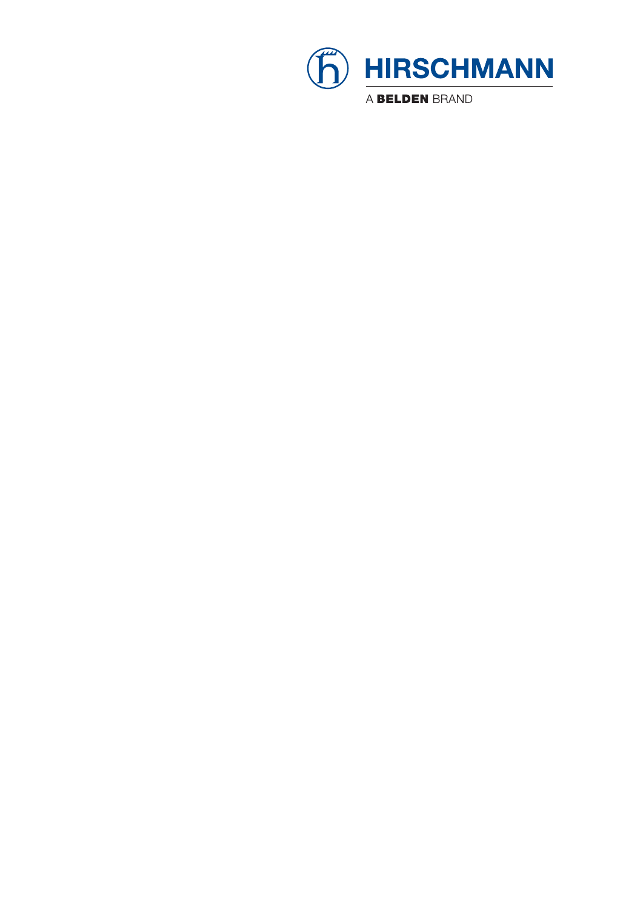